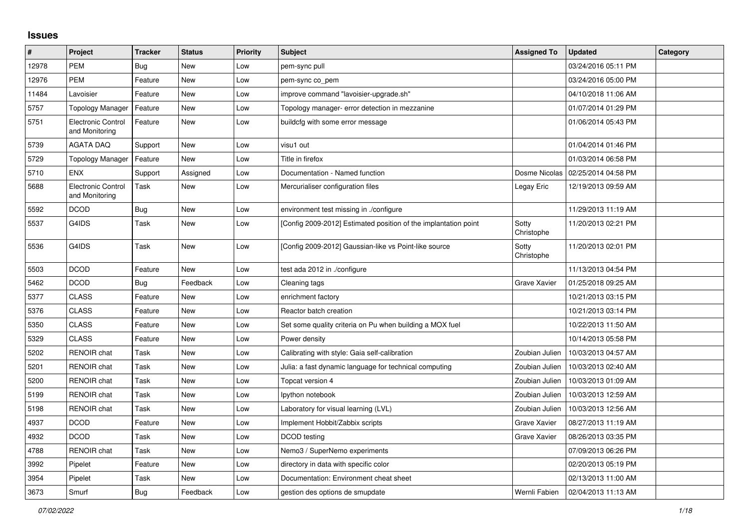## **Issues**

| $\vert$ # | Project                                     | <b>Tracker</b> | <b>Status</b> | <b>Priority</b> | <b>Subject</b>                                                  | <b>Assigned To</b>  | <b>Updated</b>      | Category |
|-----------|---------------------------------------------|----------------|---------------|-----------------|-----------------------------------------------------------------|---------------------|---------------------|----------|
| 12978     | <b>PEM</b>                                  | Bug            | New           | Low             | pem-sync pull                                                   |                     | 03/24/2016 05:11 PM |          |
| 12976     | <b>PEM</b>                                  | Feature        | <b>New</b>    | Low             | pem-sync co_pem                                                 |                     | 03/24/2016 05:00 PM |          |
| 11484     | Lavoisier                                   | Feature        | New           | Low             | improve command "lavoisier-upgrade.sh"                          |                     | 04/10/2018 11:06 AM |          |
| 5757      | <b>Topology Manager</b>                     | Feature        | New           | Low             | Topology manager- error detection in mezzanine                  |                     | 01/07/2014 01:29 PM |          |
| 5751      | <b>Electronic Control</b><br>and Monitoring | Feature        | <b>New</b>    | Low             | buildcfg with some error message                                |                     | 01/06/2014 05:43 PM |          |
| 5739      | <b>AGATA DAQ</b>                            | Support        | <b>New</b>    | Low             | visu1 out                                                       |                     | 01/04/2014 01:46 PM |          |
| 5729      | <b>Topology Manager</b>                     | Feature        | New           | Low             | Title in firefox                                                |                     | 01/03/2014 06:58 PM |          |
| 5710      | <b>ENX</b>                                  | Support        | Assigned      | Low             | Documentation - Named function                                  | Dosme Nicolas       | 02/25/2014 04:58 PM |          |
| 5688      | Electronic Control<br>and Monitoring        | Task           | New           | Low             | Mercurialiser configuration files                               | Legay Eric          | 12/19/2013 09:59 AM |          |
| 5592      | <b>DCOD</b>                                 | Bug            | New           | Low             | environment test missing in ./configure                         |                     | 11/29/2013 11:19 AM |          |
| 5537      | G4IDS                                       | Task           | <b>New</b>    | Low             | [Config 2009-2012] Estimated position of the implantation point | Sotty<br>Christophe | 11/20/2013 02:21 PM |          |
| 5536      | G4IDS                                       | Task           | New           | Low             | [Config 2009-2012] Gaussian-like vs Point-like source           | Sotty<br>Christophe | 11/20/2013 02:01 PM |          |
| 5503      | <b>DCOD</b>                                 | Feature        | New           | Low             | test ada 2012 in ./configure                                    |                     | 11/13/2013 04:54 PM |          |
| 5462      | <b>DCOD</b>                                 | Bug            | Feedback      | Low             | Cleaning tags                                                   | <b>Grave Xavier</b> | 01/25/2018 09:25 AM |          |
| 5377      | <b>CLASS</b>                                | Feature        | New           | Low             | enrichment factory                                              |                     | 10/21/2013 03:15 PM |          |
| 5376      | <b>CLASS</b>                                | Feature        | New           | Low             | Reactor batch creation                                          |                     | 10/21/2013 03:14 PM |          |
| 5350      | <b>CLASS</b>                                | Feature        | New           | Low             | Set some quality criteria on Pu when building a MOX fuel        |                     | 10/22/2013 11:50 AM |          |
| 5329      | <b>CLASS</b>                                | Feature        | <b>New</b>    | Low             | Power density                                                   |                     | 10/14/2013 05:58 PM |          |
| 5202      | <b>RENOIR</b> chat                          | Task           | New           | Low             | Calibrating with style: Gaia self-calibration                   | Zoubian Julien      | 10/03/2013 04:57 AM |          |
| 5201      | <b>RENOIR</b> chat                          | Task           | New           | Low             | Julia: a fast dynamic language for technical computing          | Zoubian Julien      | 10/03/2013 02:40 AM |          |
| 5200      | <b>RENOIR</b> chat                          | Task           | New           | Low             | Topcat version 4                                                | Zoubian Julien      | 10/03/2013 01:09 AM |          |
| 5199      | RENOIR chat                                 | Task           | New           | Low             | Ipython notebook                                                | Zoubian Julien      | 10/03/2013 12:59 AM |          |
| 5198      | <b>RENOIR</b> chat                          | Task           | <b>New</b>    | Low             | Laboratory for visual learning (LVL)                            | Zoubian Julien      | 10/03/2013 12:56 AM |          |
| 4937      | <b>DCOD</b>                                 | Feature        | <b>New</b>    | Low             | Implement Hobbit/Zabbix scripts                                 | Grave Xavier        | 08/27/2013 11:19 AM |          |
| 4932      | <b>DCOD</b>                                 | Task           | New           | Low             | DCOD testing                                                    | Grave Xavier        | 08/26/2013 03:35 PM |          |
| 4788      | <b>RENOIR</b> chat                          | Task           | New           | Low             | Nemo3 / SuperNemo experiments                                   |                     | 07/09/2013 06:26 PM |          |
| 3992      | Pipelet                                     | Feature        | New           | Low             | directory in data with specific color                           |                     | 02/20/2013 05:19 PM |          |
| 3954      | Pipelet                                     | Task           | New           | Low             | Documentation: Environment cheat sheet                          |                     | 02/13/2013 11:00 AM |          |
| 3673      | Smurf                                       | Bug            | Feedback      | Low             | gestion des options de smupdate                                 | Wernli Fabien       | 02/04/2013 11:13 AM |          |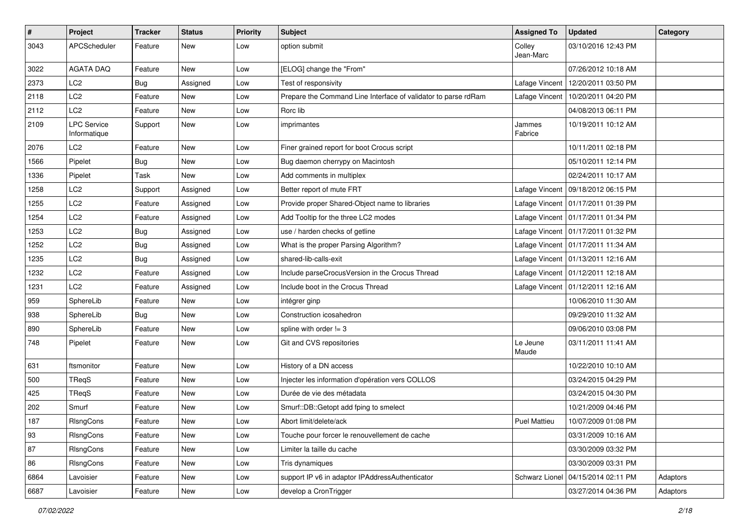| #    | Project                            | <b>Tracker</b> | <b>Status</b> | <b>Priority</b> | Subject                                                        | <b>Assigned To</b>  | <b>Updated</b>                       | Category |
|------|------------------------------------|----------------|---------------|-----------------|----------------------------------------------------------------|---------------------|--------------------------------------|----------|
| 3043 | APCScheduler                       | Feature        | New           | Low             | option submit                                                  | Colley<br>Jean-Marc | 03/10/2016 12:43 PM                  |          |
| 3022 | AGATA DAQ                          | Feature        | New           | Low             | [ELOG] change the "From"                                       |                     | 07/26/2012 10:18 AM                  |          |
| 2373 | LC <sub>2</sub>                    | Bug            | Assigned      | Low             | Test of responsivity                                           | Lafage Vincent      | 12/20/2011 03:50 PM                  |          |
| 2118 | LC <sub>2</sub>                    | Feature        | New           | Low             | Prepare the Command Line Interface of validator to parse rdRam | Lafage Vincent      | 10/20/2011 04:20 PM                  |          |
| 2112 | LC <sub>2</sub>                    | Feature        | New           | Low             | Rorc lib                                                       |                     | 04/08/2013 06:11 PM                  |          |
| 2109 | <b>LPC Service</b><br>Informatique | Support        | New           | Low             | imprimantes                                                    | Jammes<br>Fabrice   | 10/19/2011 10:12 AM                  |          |
| 2076 | LC <sub>2</sub>                    | Feature        | New           | Low             | Finer grained report for boot Crocus script                    |                     | 10/11/2011 02:18 PM                  |          |
| 1566 | Pipelet                            | <b>Bug</b>     | New           | Low             | Bug daemon cherrypy on Macintosh                               |                     | 05/10/2011 12:14 PM                  |          |
| 1336 | Pipelet                            | Task           | New           | Low             | Add comments in multiplex                                      |                     | 02/24/2011 10:17 AM                  |          |
| 1258 | LC <sub>2</sub>                    | Support        | Assigned      | Low             | Better report of mute FRT                                      | Lafage Vincent      | 09/18/2012 06:15 PM                  |          |
| 1255 | LC <sub>2</sub>                    | Feature        | Assigned      | Low             | Provide proper Shared-Object name to libraries                 |                     | Lafage Vincent   01/17/2011 01:39 PM |          |
| 1254 | LC <sub>2</sub>                    | Feature        | Assigned      | Low             | Add Tooltip for the three LC2 modes                            |                     | Lafage Vincent   01/17/2011 01:34 PM |          |
| 1253 | LC <sub>2</sub>                    | <b>Bug</b>     | Assigned      | Low             | use / harden checks of getline                                 |                     | Lafage Vincent   01/17/2011 01:32 PM |          |
| 1252 | LC <sub>2</sub>                    | <b>Bug</b>     | Assigned      | Low             | What is the proper Parsing Algorithm?                          |                     | Lafage Vincent   01/17/2011 11:34 AM |          |
| 1235 | LC <sub>2</sub>                    | <b>Bug</b>     | Assigned      | Low             | shared-lib-calls-exit                                          |                     | Lafage Vincent   01/13/2011 12:16 AM |          |
| 1232 | LC <sub>2</sub>                    | Feature        | Assigned      | Low             | Include parseCrocusVersion in the Crocus Thread                |                     | Lafage Vincent   01/12/2011 12:18 AM |          |
| 1231 | LC <sub>2</sub>                    | Feature        | Assigned      | Low             | Include boot in the Crocus Thread                              |                     | Lafage Vincent   01/12/2011 12:16 AM |          |
| 959  | SphereLib                          | Feature        | New           | Low             | intégrer ginp                                                  |                     | 10/06/2010 11:30 AM                  |          |
| 938  | SphereLib                          | <b>Bug</b>     | New           | Low             | Construction icosahedron                                       |                     | 09/29/2010 11:32 AM                  |          |
| 890  | SphereLib                          | Feature        | New           | Low             | spline with order $!=$ 3                                       |                     | 09/06/2010 03:08 PM                  |          |
| 748  | Pipelet                            | Feature        | <b>New</b>    | Low             | Git and CVS repositories                                       | Le Jeune<br>Maude   | 03/11/2011 11:41 AM                  |          |
| 631  | ftsmonitor                         | Feature        | New           | Low             | History of a DN access                                         |                     | 10/22/2010 10:10 AM                  |          |
| 500  | TRegS                              | Feature        | New           | Low             | Injecter les information d'opération vers COLLOS               |                     | 03/24/2015 04:29 PM                  |          |
| 425  | TReqS                              | Feature        | New           | Low             | Durée de vie des métadata                                      |                     | 03/24/2015 04:30 PM                  |          |
| 202  | Smurf                              | Feature        | New           | Low             | Smurf::DB::Getopt add fping to smelect                         |                     | 10/21/2009 04:46 PM                  |          |
| 187  | <b>RIsngCons</b>                   | Feature        | New           | Low             | Abort limit/delete/ack                                         | <b>Puel Mattieu</b> | 10/07/2009 01:08 PM                  |          |
| 93   | RIsngCons                          | Feature        | New           | Low             | Touche pour forcer le renouvellement de cache                  |                     | 03/31/2009 10:16 AM                  |          |
| 87   | RIsngCons                          | Feature        | New           | Low             | Limiter la taille du cache                                     |                     | 03/30/2009 03:32 PM                  |          |
| 86   | RIsngCons                          | Feature        | New           | Low             | Tris dynamiques                                                |                     | 03/30/2009 03:31 PM                  |          |
| 6864 | Lavoisier                          | Feature        | New           | Low             | support IP v6 in adaptor IPAddressAuthenticator                | Schwarz Lionel      | 04/15/2014 02:11 PM                  | Adaptors |
| 6687 | Lavoisier                          | Feature        | New           | Low             | develop a CronTrigger                                          |                     | 03/27/2014 04:36 PM                  | Adaptors |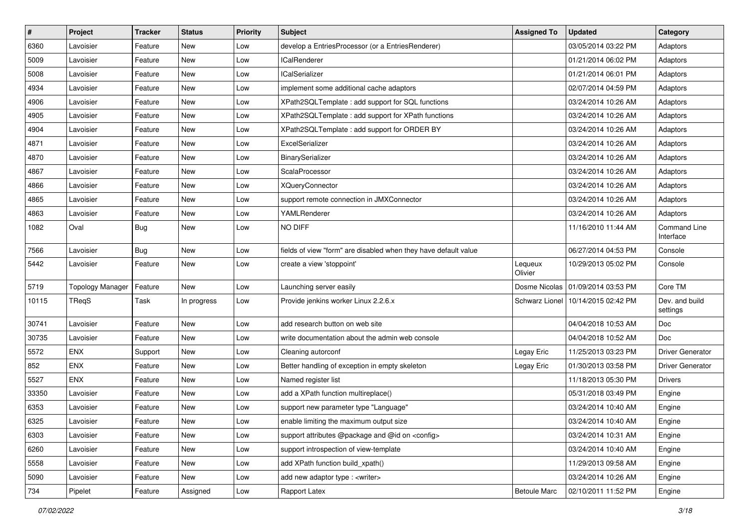| $\sharp$ | Project          | <b>Tracker</b> | <b>Status</b> | <b>Priority</b> | <b>Subject</b>                                                  | <b>Assigned To</b>  | <b>Updated</b>                       | Category                   |
|----------|------------------|----------------|---------------|-----------------|-----------------------------------------------------------------|---------------------|--------------------------------------|----------------------------|
| 6360     | Lavoisier        | Feature        | New           | Low             | develop a EntriesProcessor (or a EntriesRenderer)               |                     | 03/05/2014 03:22 PM                  | Adaptors                   |
| 5009     | Lavoisier        | Feature        | New           | Low             | <b>ICalRenderer</b>                                             |                     | 01/21/2014 06:02 PM                  | Adaptors                   |
| 5008     | Lavoisier        | Feature        | New           | Low             | <b>ICalSerializer</b>                                           |                     | 01/21/2014 06:01 PM                  | Adaptors                   |
| 4934     | Lavoisier        | Feature        | New           | Low             | implement some additional cache adaptors                        |                     | 02/07/2014 04:59 PM                  | Adaptors                   |
| 4906     | Lavoisier        | Feature        | New           | Low             | XPath2SQLTemplate : add support for SQL functions               |                     | 03/24/2014 10:26 AM                  | Adaptors                   |
| 4905     | Lavoisier        | Feature        | New           | Low             | XPath2SQLTemplate: add support for XPath functions              |                     | 03/24/2014 10:26 AM                  | Adaptors                   |
| 4904     | Lavoisier        | Feature        | New           | Low             | XPath2SQLTemplate : add support for ORDER BY                    |                     | 03/24/2014 10:26 AM                  | Adaptors                   |
| 4871     | Lavoisier        | Feature        | New           | Low             | ExcelSerializer                                                 |                     | 03/24/2014 10:26 AM                  | Adaptors                   |
| 4870     | Lavoisier        | Feature        | New           | Low             | BinarySerializer                                                |                     | 03/24/2014 10:26 AM                  | Adaptors                   |
| 4867     | Lavoisier        | Feature        | New           | Low             | ScalaProcessor                                                  |                     | 03/24/2014 10:26 AM                  | Adaptors                   |
| 4866     | Lavoisier        | Feature        | New           | Low             | <b>XQueryConnector</b>                                          |                     | 03/24/2014 10:26 AM                  | Adaptors                   |
| 4865     | Lavoisier        | Feature        | New           | Low             | support remote connection in JMXConnector                       |                     | 03/24/2014 10:26 AM                  | Adaptors                   |
| 4863     | Lavoisier        | Feature        | New           | Low             | YAMLRenderer                                                    |                     | 03/24/2014 10:26 AM                  | Adaptors                   |
| 1082     | Oval             | <b>Bug</b>     | New           | Low             | NO DIFF                                                         |                     | 11/16/2010 11:44 AM                  | Command Line<br>Interface  |
| 7566     | Lavoisier        | <b>Bug</b>     | New           | Low             | fields of view "form" are disabled when they have default value |                     | 06/27/2014 04:53 PM                  | Console                    |
| 5442     | Lavoisier        | Feature        | New           | Low             | create a view 'stoppoint'                                       | Lequeux<br>Olivier  | 10/29/2013 05:02 PM                  | Console                    |
| 5719     | Topology Manager | Feature        | New           | Low             | Launching server easily                                         |                     | Dosme Nicolas   01/09/2014 03:53 PM  | Core TM                    |
| 10115    | TReqS            | Task           | In progress   | Low             | Provide jenkins worker Linux 2.2.6.x                            |                     | Schwarz Lionel   10/14/2015 02:42 PM | Dev. and build<br>settings |
| 30741    | Lavoisier        | Feature        | New           | Low             | add research button on web site                                 |                     | 04/04/2018 10:53 AM                  | Doc                        |
| 30735    | Lavoisier        | Feature        | New           | Low             | write documentation about the admin web console                 |                     | 04/04/2018 10:52 AM                  | <b>Doc</b>                 |
| 5572     | <b>ENX</b>       | Support        | New           | Low             | Cleaning autorconf                                              | Legay Eric          | 11/25/2013 03:23 PM                  | <b>Driver Generator</b>    |
| 852      | ENX              | Feature        | New           | Low             | Better handling of exception in empty skeleton                  | Legay Eric          | 01/30/2013 03:58 PM                  | <b>Driver Generator</b>    |
| 5527     | <b>ENX</b>       | Feature        | New           | Low             | Named register list                                             |                     | 11/18/2013 05:30 PM                  | <b>Drivers</b>             |
| 33350    | Lavoisier        | Feature        | New           | Low             | add a XPath function multireplace()                             |                     | 05/31/2018 03:49 PM                  | Engine                     |
| 6353     | Lavoisier        | Feature        | New           | Low             | support new parameter type "Language"                           |                     | 03/24/2014 10:40 AM                  | Engine                     |
| 6325     | Lavoisier        | Feature        | New           | Low             | enable limiting the maximum output size                         |                     | 03/24/2014 10:40 AM                  | Engine                     |
| 6303     | Lavoisier        | Feature        | New           | Low             | support attributes @package and @id on <config></config>        |                     | 03/24/2014 10:31 AM                  | Engine                     |
| 6260     | Lavoisier        | Feature        | New           | Low             | support introspection of view-template                          |                     | 03/24/2014 10:40 AM                  | Engine                     |
| 5558     | Lavoisier        | Feature        | New           | Low             | add XPath function build_xpath()                                |                     | 11/29/2013 09:58 AM                  | Engine                     |
| 5090     | Lavoisier        | Feature        | New           | Low             | add new adaptor type : <writer></writer>                        |                     | 03/24/2014 10:26 AM                  | Engine                     |
| 734      | Pipelet          | Feature        | Assigned      | Low             | Rapport Latex                                                   | <b>Betoule Marc</b> | 02/10/2011 11:52 PM                  | Engine                     |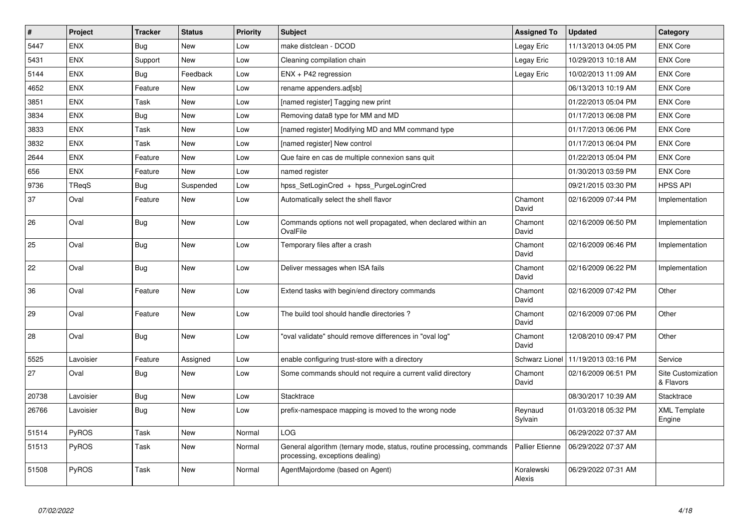| $\vert$ # | Project    | <b>Tracker</b> | <b>Status</b> | <b>Priority</b> | <b>Subject</b>                                                                                           | <b>Assigned To</b>     | <b>Updated</b>      | Category                        |
|-----------|------------|----------------|---------------|-----------------|----------------------------------------------------------------------------------------------------------|------------------------|---------------------|---------------------------------|
| 5447      | <b>ENX</b> | Bug            | <b>New</b>    | Low             | make distclean - DCOD                                                                                    | Legay Eric             | 11/13/2013 04:05 PM | <b>ENX Core</b>                 |
| 5431      | <b>ENX</b> | Support        | <b>New</b>    | Low             | Cleaning compilation chain                                                                               | Legay Eric             | 10/29/2013 10:18 AM | <b>ENX Core</b>                 |
| 5144      | <b>ENX</b> | <b>Bug</b>     | Feedback      | Low             | ENX + P42 regression                                                                                     | Legay Eric             | 10/02/2013 11:09 AM | <b>ENX Core</b>                 |
| 4652      | <b>ENX</b> | Feature        | New           | Low             | rename appenders.ad[sb]                                                                                  |                        | 06/13/2013 10:19 AM | <b>ENX Core</b>                 |
| 3851      | <b>ENX</b> | Task           | <b>New</b>    | Low             | [named register] Tagging new print                                                                       |                        | 01/22/2013 05:04 PM | <b>ENX Core</b>                 |
| 3834      | <b>ENX</b> | <b>Bug</b>     | <b>New</b>    | Low             | Removing data8 type for MM and MD                                                                        |                        | 01/17/2013 06:08 PM | <b>ENX Core</b>                 |
| 3833      | ENX        | Task           | New           | Low             | [named register] Modifying MD and MM command type                                                        |                        | 01/17/2013 06:06 PM | <b>ENX Core</b>                 |
| 3832      | <b>ENX</b> | Task           | New           | Low             | [named register] New control                                                                             |                        | 01/17/2013 06:04 PM | <b>ENX Core</b>                 |
| 2644      | <b>ENX</b> | Feature        | New           | Low             | Que faire en cas de multiple connexion sans quit                                                         |                        | 01/22/2013 05:04 PM | <b>ENX Core</b>                 |
| 656       | <b>ENX</b> | Feature        | New           | Low             | named register                                                                                           |                        | 01/30/2013 03:59 PM | <b>ENX Core</b>                 |
| 9736      | TReqS      | Bug            | Suspended     | Low             | hpss SetLoginCred + hpss PurgeLoginCred                                                                  |                        | 09/21/2015 03:30 PM | <b>HPSS API</b>                 |
| 37        | Oval       | Feature        | <b>New</b>    | Low             | Automatically select the shell flavor                                                                    | Chamont<br>David       | 02/16/2009 07:44 PM | Implementation                  |
| 26        | Oval       | <b>Bug</b>     | New           | Low             | Commands options not well propagated, when declared within an<br>OvalFile                                | Chamont<br>David       | 02/16/2009 06:50 PM | Implementation                  |
| 25        | Oval       | Bug            | <b>New</b>    | Low             | Temporary files after a crash                                                                            | Chamont<br>David       | 02/16/2009 06:46 PM | Implementation                  |
| 22        | Oval       | <b>Bug</b>     | New           | Low             | Deliver messages when ISA fails                                                                          | Chamont<br>David       | 02/16/2009 06:22 PM | Implementation                  |
| 36        | Oval       | Feature        | New           | Low             | Extend tasks with begin/end directory commands                                                           | Chamont<br>David       | 02/16/2009 07:42 PM | Other                           |
| 29        | Oval       | Feature        | New           | Low             | The build tool should handle directories?                                                                | Chamont<br>David       | 02/16/2009 07:06 PM | Other                           |
| 28        | Oval       | Bug            | New           | Low             | "oval validate" should remove differences in "oval log"                                                  | Chamont<br>David       | 12/08/2010 09:47 PM | Other                           |
| 5525      | Lavoisier  | Feature        | Assigned      | Low             | enable configuring trust-store with a directory                                                          | Schwarz Lionel         | 11/19/2013 03:16 PM | Service                         |
| 27        | Oval       | <b>Bug</b>     | <b>New</b>    | Low             | Some commands should not require a current valid directory                                               | Chamont<br>David       | 02/16/2009 06:51 PM | Site Customization<br>& Flavors |
| 20738     | Lavoisier  | <b>Bug</b>     | <b>New</b>    | Low             | Stacktrace                                                                                               |                        | 08/30/2017 10:39 AM | Stacktrace                      |
| 26766     | Lavoisier  | <b>Bug</b>     | New           | Low             | prefix-namespace mapping is moved to the wrong node                                                      | Reynaud<br>Sylvain     | 01/03/2018 05:32 PM | <b>XML Template</b><br>Engine   |
| 51514     | PyROS      | Task           | <b>New</b>    | Normal          | LOG.                                                                                                     |                        | 06/29/2022 07:37 AM |                                 |
| 51513     | PyROS      | Task           | New           | Normal          | General algorithm (ternary mode, status, routine processing, commands<br>processing, exceptions dealing) | <b>Pallier Etienne</b> | 06/29/2022 07:37 AM |                                 |
| 51508     | PyROS      | Task           | <b>New</b>    | Normal          | AgentMajordome (based on Agent)                                                                          | Koralewski<br>Alexis   | 06/29/2022 07:31 AM |                                 |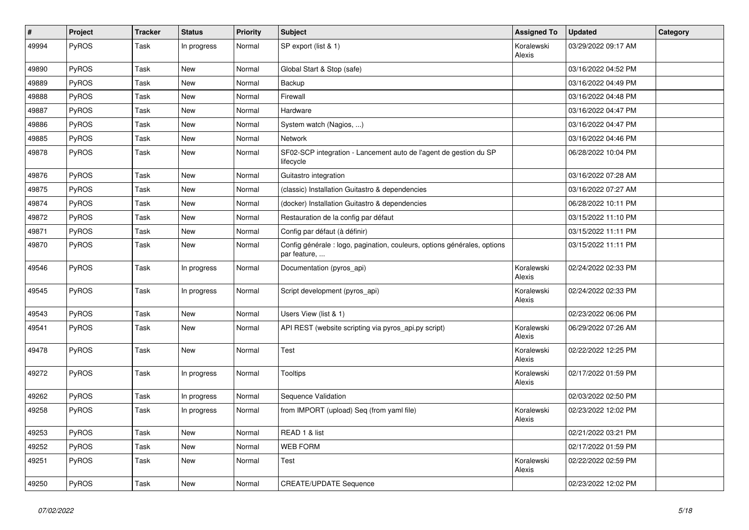| $\#$  | Project | <b>Tracker</b> | <b>Status</b> | <b>Priority</b> | Subject                                                                                  | <b>Assigned To</b>   | <b>Updated</b>      | Category |
|-------|---------|----------------|---------------|-----------------|------------------------------------------------------------------------------------------|----------------------|---------------------|----------|
| 49994 | PyROS   | Task           | In progress   | Normal          | SP export (list & 1)                                                                     | Koralewski<br>Alexis | 03/29/2022 09:17 AM |          |
| 49890 | PyROS   | Task           | New           | Normal          | Global Start & Stop (safe)                                                               |                      | 03/16/2022 04:52 PM |          |
| 49889 | PyROS   | Task           | New           | Normal          | Backup                                                                                   |                      | 03/16/2022 04:49 PM |          |
| 49888 | PyROS   | Task           | New           | Normal          | Firewall                                                                                 |                      | 03/16/2022 04:48 PM |          |
| 49887 | PyROS   | Task           | New           | Normal          | Hardware                                                                                 |                      | 03/16/2022 04:47 PM |          |
| 49886 | PyROS   | Task           | New           | Normal          | System watch (Nagios, )                                                                  |                      | 03/16/2022 04:47 PM |          |
| 49885 | PyROS   | Task           | New           | Normal          | Network                                                                                  |                      | 03/16/2022 04:46 PM |          |
| 49878 | PyROS   | Task           | <b>New</b>    | Normal          | SF02-SCP integration - Lancement auto de l'agent de gestion du SP<br>lifecycle           |                      | 06/28/2022 10:04 PM |          |
| 49876 | PyROS   | Task           | New           | Normal          | Guitastro integration                                                                    |                      | 03/16/2022 07:28 AM |          |
| 49875 | PyROS   | Task           | New           | Normal          | (classic) Installation Guitastro & dependencies                                          |                      | 03/16/2022 07:27 AM |          |
| 49874 | PyROS   | Task           | New           | Normal          | (docker) Installation Guitastro & dependencies                                           |                      | 06/28/2022 10:11 PM |          |
| 49872 | PyROS   | Task           | New           | Normal          | Restauration de la config par défaut                                                     |                      | 03/15/2022 11:10 PM |          |
| 49871 | PyROS   | Task           | New           | Normal          | Config par défaut (à définir)                                                            |                      | 03/15/2022 11:11 PM |          |
| 49870 | PyROS   | Task           | New           | Normal          | Config générale : logo, pagination, couleurs, options générales, options<br>par feature, |                      | 03/15/2022 11:11 PM |          |
| 49546 | PyROS   | Task           | In progress   | Normal          | Documentation (pyros_api)                                                                | Koralewski<br>Alexis | 02/24/2022 02:33 PM |          |
| 49545 | PyROS   | Task           | In progress   | Normal          | Script development (pyros_api)                                                           | Koralewski<br>Alexis | 02/24/2022 02:33 PM |          |
| 49543 | PyROS   | Task           | New           | Normal          | Users View (list & 1)                                                                    |                      | 02/23/2022 06:06 PM |          |
| 49541 | PyROS   | Task           | New           | Normal          | API REST (website scripting via pyros_api.py script)                                     | Koralewski<br>Alexis | 06/29/2022 07:26 AM |          |
| 49478 | PyROS   | Task           | New           | Normal          | Test                                                                                     | Koralewski<br>Alexis | 02/22/2022 12:25 PM |          |
| 49272 | PyROS   | Task           | In progress   | Normal          | <b>Tooltips</b>                                                                          | Koralewski<br>Alexis | 02/17/2022 01:59 PM |          |
| 49262 | PyROS   | Task           | In progress   | Normal          | Sequence Validation                                                                      |                      | 02/03/2022 02:50 PM |          |
| 49258 | PyROS   | Task           | In progress   | Normal          | from IMPORT (upload) Seq (from yaml file)                                                | Koralewski<br>Alexis | 02/23/2022 12:02 PM |          |
| 49253 | PyROS   | Task           | New           | Normal          | READ 1 & list                                                                            |                      | 02/21/2022 03:21 PM |          |
| 49252 | PyROS   | Task           | New           | Normal          | <b>WEB FORM</b>                                                                          |                      | 02/17/2022 01:59 PM |          |
| 49251 | PyROS   | Task           | New           | Normal          | Test                                                                                     | Koralewski<br>Alexis | 02/22/2022 02:59 PM |          |
| 49250 | PyROS   | Task           | New           | Normal          | <b>CREATE/UPDATE Sequence</b>                                                            |                      | 02/23/2022 12:02 PM |          |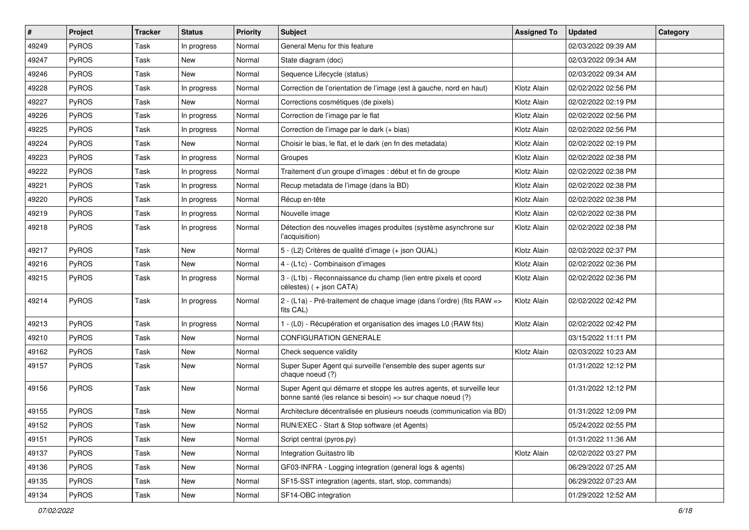| $\vert$ # | Project      | <b>Tracker</b> | <b>Status</b> | <b>Priority</b> | Subject                                                                                                                               | <b>Assigned To</b> | <b>Updated</b>      | Category |
|-----------|--------------|----------------|---------------|-----------------|---------------------------------------------------------------------------------------------------------------------------------------|--------------------|---------------------|----------|
| 49249     | PyROS        | Task           | In progress   | Normal          | General Menu for this feature                                                                                                         |                    | 02/03/2022 09:39 AM |          |
| 49247     | PyROS        | <b>Task</b>    | <b>New</b>    | Normal          | State diagram (doc)                                                                                                                   |                    | 02/03/2022 09:34 AM |          |
| 49246     | PyROS        | Task           | New           | Normal          | Sequence Lifecycle (status)                                                                                                           |                    | 02/03/2022 09:34 AM |          |
| 49228     | PyROS        | Task           | In progress   | Normal          | Correction de l'orientation de l'image (est à gauche, nord en haut)                                                                   | Klotz Alain        | 02/02/2022 02:56 PM |          |
| 49227     | PyROS        | Task           | <b>New</b>    | Normal          | Corrections cosmétiques (de pixels)                                                                                                   | Klotz Alain        | 02/02/2022 02:19 PM |          |
| 49226     | PyROS        | Task           | In progress   | Normal          | Correction de l'image par le flat                                                                                                     | Klotz Alain        | 02/02/2022 02:56 PM |          |
| 49225     | PyROS        | Task           | In progress   | Normal          | Correction de l'image par le dark (+ bias)                                                                                            | Klotz Alain        | 02/02/2022 02:56 PM |          |
| 49224     | PyROS        | Task           | New           | Normal          | Choisir le bias, le flat, et le dark (en fn des metadata)                                                                             | Klotz Alain        | 02/02/2022 02:19 PM |          |
| 49223     | PyROS        | Task           | In progress   | Normal          | Groupes                                                                                                                               | Klotz Alain        | 02/02/2022 02:38 PM |          |
| 49222     | PyROS        | Task           | In progress   | Normal          | Traitement d'un groupe d'images : début et fin de groupe                                                                              | Klotz Alain        | 02/02/2022 02:38 PM |          |
| 49221     | <b>PyROS</b> | Task           | In progress   | Normal          | Recup metadata de l'image (dans la BD)                                                                                                | Klotz Alain        | 02/02/2022 02:38 PM |          |
| 49220     | PyROS        | Task           | In progress   | Normal          | Récup en-tête                                                                                                                         | Klotz Alain        | 02/02/2022 02:38 PM |          |
| 49219     | PyROS        | Task           | In progress   | Normal          | Nouvelle image                                                                                                                        | Klotz Alain        | 02/02/2022 02:38 PM |          |
| 49218     | PyROS        | Task           | In progress   | Normal          | Détection des nouvelles images produites (système asynchrone sur<br>l'acquisition)                                                    | Klotz Alain        | 02/02/2022 02:38 PM |          |
| 49217     | PyROS        | Task           | New           | Normal          | 5 - (L2) Critères de qualité d'image (+ json QUAL)                                                                                    | Klotz Alain        | 02/02/2022 02:37 PM |          |
| 49216     | PyROS        | Task           | New           | Normal          | 4 - (L1c) - Combinaison d'images                                                                                                      | Klotz Alain        | 02/02/2022 02:36 PM |          |
| 49215     | PyROS        | Task           | In progress   | Normal          | 3 - (L1b) - Reconnaissance du champ (lien entre pixels et coord<br>célestes) (+ json CATA)                                            | Klotz Alain        | 02/02/2022 02:36 PM |          |
| 49214     | PyROS        | Task           | In progress   | Normal          | 2 - (L1a) - Pré-traitement de chaque image (dans l'ordre) (fits RAW =><br>fits CAL)                                                   | Klotz Alain        | 02/02/2022 02:42 PM |          |
| 49213     | PyROS        | Task           | In progress   | Normal          | 1 - (L0) - Récupération et organisation des images L0 (RAW fits)                                                                      | Klotz Alain        | 02/02/2022 02:42 PM |          |
| 49210     | PyROS        | Task           | New           | Normal          | <b>CONFIGURATION GENERALE</b>                                                                                                         |                    | 03/15/2022 11:11 PM |          |
| 49162     | PyROS        | Task           | New           | Normal          | Check sequence validity                                                                                                               | Klotz Alain        | 02/03/2022 10:23 AM |          |
| 49157     | PyROS        | Task           | New           | Normal          | Super Super Agent qui surveille l'ensemble des super agents sur<br>chaque noeud (?)                                                   |                    | 01/31/2022 12:12 PM |          |
| 49156     | PyROS        | Task           | New           | Normal          | Super Agent qui démarre et stoppe les autres agents, et surveille leur<br>bonne santé (les relance si besoin) => sur chaque noeud (?) |                    | 01/31/2022 12:12 PM |          |
| 49155     | PyROS        | Task           | New           | Normal          | Architecture décentralisée en plusieurs noeuds (communication via BD)                                                                 |                    | 01/31/2022 12:09 PM |          |
| 49152     | PyROS        | Task           | New           | Normal          | RUN/EXEC - Start & Stop software (et Agents)                                                                                          |                    | 05/24/2022 02:55 PM |          |
| 49151     | <b>PyROS</b> | Task           | New           | Normal          | Script central (pyros.py)                                                                                                             |                    | 01/31/2022 11:36 AM |          |
| 49137     | PyROS        | Task           | New           | Normal          | Integration Guitastro lib                                                                                                             | Klotz Alain        | 02/02/2022 03:27 PM |          |
| 49136     | PyROS        | Task           | New           | Normal          | GF03-INFRA - Logging integration (general logs & agents)                                                                              |                    | 06/29/2022 07:25 AM |          |
| 49135     | PyROS        | Task           | New           | Normal          | SF15-SST integration (agents, start, stop, commands)                                                                                  |                    | 06/29/2022 07:23 AM |          |
| 49134     | PyROS        | Task           | New           | Normal          | SF14-OBC integration                                                                                                                  |                    | 01/29/2022 12:52 AM |          |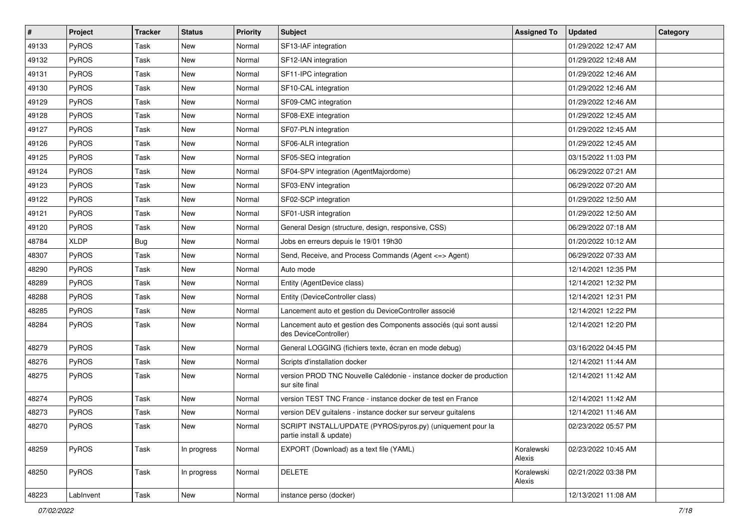| #     | Project     | <b>Tracker</b> | <b>Status</b> | <b>Priority</b> | <b>Subject</b>                                                                             | <b>Assigned To</b>   | <b>Updated</b>      | Category |
|-------|-------------|----------------|---------------|-----------------|--------------------------------------------------------------------------------------------|----------------------|---------------------|----------|
| 49133 | PyROS       | Task           | New           | Normal          | SF13-IAF integration                                                                       |                      | 01/29/2022 12:47 AM |          |
| 49132 | PyROS       | <b>Task</b>    | <b>New</b>    | Normal          | SF12-IAN integration                                                                       |                      | 01/29/2022 12:48 AM |          |
| 49131 | PyROS       | Task           | New           | Normal          | SF11-IPC integration                                                                       |                      | 01/29/2022 12:46 AM |          |
| 49130 | PyROS       | Task           | <b>New</b>    | Normal          | SF10-CAL integration                                                                       |                      | 01/29/2022 12:46 AM |          |
| 49129 | PyROS       | <b>Task</b>    | <b>New</b>    | Normal          | SF09-CMC integration                                                                       |                      | 01/29/2022 12:46 AM |          |
| 49128 | PyROS       | Task           | New           | Normal          | SF08-EXE integration                                                                       |                      | 01/29/2022 12:45 AM |          |
| 49127 | PyROS       | <b>Task</b>    | <b>New</b>    | Normal          | SF07-PLN integration                                                                       |                      | 01/29/2022 12:45 AM |          |
| 49126 | PyROS       | Task           | New           | Normal          | SF06-ALR integration                                                                       |                      | 01/29/2022 12:45 AM |          |
| 49125 | PyROS       | Task           | <b>New</b>    | Normal          | SF05-SEQ integration                                                                       |                      | 03/15/2022 11:03 PM |          |
| 49124 | PyROS       | Task           | <b>New</b>    | Normal          | SF04-SPV integration (AgentMajordome)                                                      |                      | 06/29/2022 07:21 AM |          |
| 49123 | PyROS       | Task           | New           | Normal          | SF03-ENV integration                                                                       |                      | 06/29/2022 07:20 AM |          |
| 49122 | PyROS       | Task           | New           | Normal          | SF02-SCP integration                                                                       |                      | 01/29/2022 12:50 AM |          |
| 49121 | PyROS       | Task           | New           | Normal          | SF01-USR integration                                                                       |                      | 01/29/2022 12:50 AM |          |
| 49120 | PyROS       | Task           | <b>New</b>    | Normal          | General Design (structure, design, responsive, CSS)                                        |                      | 06/29/2022 07:18 AM |          |
| 48784 | <b>XLDP</b> | Bug            | <b>New</b>    | Normal          | Jobs en erreurs depuis le 19/01 19h30                                                      |                      | 01/20/2022 10:12 AM |          |
| 48307 | PyROS       | Task           | New           | Normal          | Send, Receive, and Process Commands (Agent <= > Agent)                                     |                      | 06/29/2022 07:33 AM |          |
| 48290 | PyROS       | Task           | New           | Normal          | Auto mode                                                                                  |                      | 12/14/2021 12:35 PM |          |
| 48289 | PyROS       | Task           | <b>New</b>    | Normal          | Entity (AgentDevice class)                                                                 |                      | 12/14/2021 12:32 PM |          |
| 48288 | PyROS       | Task           | <b>New</b>    | Normal          | Entity (DeviceController class)                                                            |                      | 12/14/2021 12:31 PM |          |
| 48285 | PyROS       | <b>Task</b>    | <b>New</b>    | Normal          | Lancement auto et gestion du DeviceController associé                                      |                      | 12/14/2021 12:22 PM |          |
| 48284 | PyROS       | Task           | New           | Normal          | Lancement auto et gestion des Components associés (qui sont aussi<br>des DeviceController) |                      | 12/14/2021 12:20 PM |          |
| 48279 | PyROS       | Task           | <b>New</b>    | Normal          | General LOGGING (fichiers texte, écran en mode debug)                                      |                      | 03/16/2022 04:45 PM |          |
| 48276 | PyROS       | Task           | New           | Normal          | Scripts d'installation docker                                                              |                      | 12/14/2021 11:44 AM |          |
| 48275 | PyROS       | Task           | New           | Normal          | version PROD TNC Nouvelle Calédonie - instance docker de production<br>sur site final      |                      | 12/14/2021 11:42 AM |          |
| 48274 | PyROS       | <b>Task</b>    | <b>New</b>    | Normal          | version TEST TNC France - instance docker de test en France                                |                      | 12/14/2021 11:42 AM |          |
| 48273 | PyROS       | Task           | New           | Normal          | version DEV guitalens - instance docker sur serveur guitalens                              |                      | 12/14/2021 11:46 AM |          |
| 48270 | PyROS       | Task           | New           | Normal          | SCRIPT INSTALL/UPDATE (PYROS/pyros.py) (uniquement pour la<br>partie install & update)     |                      | 02/23/2022 05:57 PM |          |
| 48259 | PyROS       | Task           | In progress   | Normal          | EXPORT (Download) as a text file (YAML)                                                    | Koralewski<br>Alexis | 02/23/2022 10:45 AM |          |
| 48250 | PyROS       | Task           | In progress   | Normal          | <b>DELETE</b>                                                                              | Koralewski<br>Alexis | 02/21/2022 03:38 PM |          |
| 48223 | LabInvent   | Task           | New           | Normal          | instance perso (docker)                                                                    |                      | 12/13/2021 11:08 AM |          |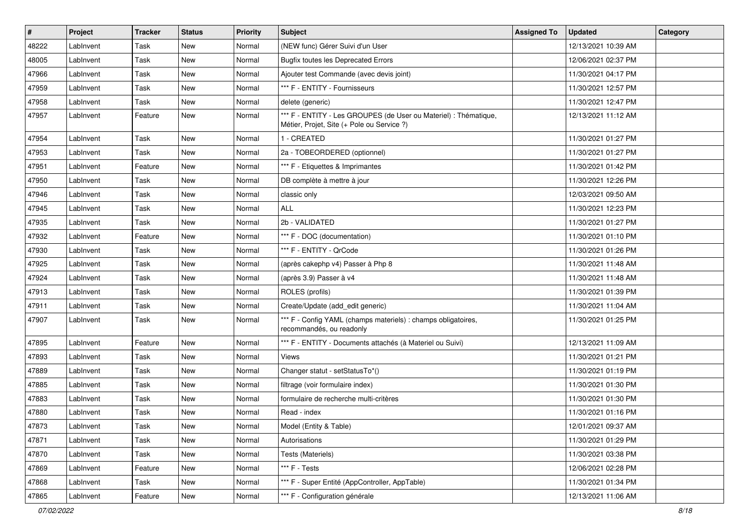| #     | Project   | <b>Tracker</b> | <b>Status</b> | <b>Priority</b> | Subject                                                                                                        | <b>Assigned To</b> | <b>Updated</b>      | Category |
|-------|-----------|----------------|---------------|-----------------|----------------------------------------------------------------------------------------------------------------|--------------------|---------------------|----------|
| 48222 | LabInvent | Task           | New           | Normal          | (NEW func) Gérer Suivi d'un User                                                                               |                    | 12/13/2021 10:39 AM |          |
| 48005 | LabInvent | Task           | <b>New</b>    | Normal          | <b>Bugfix toutes les Deprecated Errors</b>                                                                     |                    | 12/06/2021 02:37 PM |          |
| 47966 | LabInvent | Task           | New           | Normal          | Ajouter test Commande (avec devis joint)                                                                       |                    | 11/30/2021 04:17 PM |          |
| 47959 | LabInvent | Task           | <b>New</b>    | Normal          | *** F - ENTITY - Fournisseurs                                                                                  |                    | 11/30/2021 12:57 PM |          |
| 47958 | LabInvent | Task           | <b>New</b>    | Normal          | delete (generic)                                                                                               |                    | 11/30/2021 12:47 PM |          |
| 47957 | LabInvent | Feature        | New           | Normal          | *** F - ENTITY - Les GROUPES (de User ou Materiel) : Thématique,<br>Métier, Projet, Site (+ Pole ou Service ?) |                    | 12/13/2021 11:12 AM |          |
| 47954 | LabInvent | Task           | <b>New</b>    | Normal          | 1 - CREATED                                                                                                    |                    | 11/30/2021 01:27 PM |          |
| 47953 | LabInvent | Task           | <b>New</b>    | Normal          | 2a - TOBEORDERED (optionnel)                                                                                   |                    | 11/30/2021 01:27 PM |          |
| 47951 | LabInvent | Feature        | <b>New</b>    | Normal          | *** F - Etiquettes & Imprimantes                                                                               |                    | 11/30/2021 01:42 PM |          |
| 47950 | LabInvent | Task           | New           | Normal          | DB complète à mettre à jour                                                                                    |                    | 11/30/2021 12:26 PM |          |
| 47946 | LabInvent | Task           | <b>New</b>    | Normal          | classic only                                                                                                   |                    | 12/03/2021 09:50 AM |          |
| 47945 | LabInvent | Task           | New           | Normal          | <b>ALL</b>                                                                                                     |                    | 11/30/2021 12:23 PM |          |
| 47935 | LabInvent | Task           | <b>New</b>    | Normal          | 2b - VALIDATED                                                                                                 |                    | 11/30/2021 01:27 PM |          |
| 47932 | LabInvent | Feature        | <b>New</b>    | Normal          | *** F - DOC (documentation)                                                                                    |                    | 11/30/2021 01:10 PM |          |
| 47930 | LabInvent | Task           | <b>New</b>    | Normal          | *** F - ENTITY - QrCode                                                                                        |                    | 11/30/2021 01:26 PM |          |
| 47925 | LabInvent | Task           | <b>New</b>    | Normal          | (après cakephp v4) Passer à Php 8                                                                              |                    | 11/30/2021 11:48 AM |          |
| 47924 | LabInvent | Task           | New           | Normal          | (après 3.9) Passer à v4                                                                                        |                    | 11/30/2021 11:48 AM |          |
| 47913 | LabInvent | Task           | <b>New</b>    | Normal          | ROLES (profils)                                                                                                |                    | 11/30/2021 01:39 PM |          |
| 47911 | LabInvent | Task           | <b>New</b>    | Normal          | Create/Update (add edit generic)                                                                               |                    | 11/30/2021 11:04 AM |          |
| 47907 | LabInvent | Task           | <b>New</b>    | Normal          | *** F - Config YAML (champs materiels) : champs obligatoires,<br>recommandés, ou readonly                      |                    | 11/30/2021 01:25 PM |          |
| 47895 | LabInvent | Feature        | New           | Normal          | *** F - ENTITY - Documents attachés (à Materiel ou Suivi)                                                      |                    | 12/13/2021 11:09 AM |          |
| 47893 | LabInvent | Task           | <b>New</b>    | Normal          | Views                                                                                                          |                    | 11/30/2021 01:21 PM |          |
| 47889 | LabInvent | Task           | <b>New</b>    | Normal          | Changer statut - setStatusTo*()                                                                                |                    | 11/30/2021 01:19 PM |          |
| 47885 | LabInvent | Task           | New           | Normal          | filtrage (voir formulaire index)                                                                               |                    | 11/30/2021 01:30 PM |          |
| 47883 | LabInvent | Task           | <b>New</b>    | Normal          | formulaire de recherche multi-critères                                                                         |                    | 11/30/2021 01:30 PM |          |
| 47880 | LabInvent | Task           | <b>New</b>    | Normal          | Read - index                                                                                                   |                    | 11/30/2021 01:16 PM |          |
| 47873 | LabInvent | Task           | New           | Normal          | Model (Entity & Table)                                                                                         |                    | 12/01/2021 09:37 AM |          |
| 47871 | LabInvent | Task           | New           | Normal          | Autorisations                                                                                                  |                    | 11/30/2021 01:29 PM |          |
| 47870 | LabInvent | Task           | New           | Normal          | Tests (Materiels)                                                                                              |                    | 11/30/2021 03:38 PM |          |
| 47869 | LabInvent | Feature        | New           | Normal          | *** F - Tests                                                                                                  |                    | 12/06/2021 02:28 PM |          |
| 47868 | LabInvent | Task           | New           | Normal          | *** F - Super Entité (AppController, AppTable)                                                                 |                    | 11/30/2021 01:34 PM |          |
| 47865 | LabInvent | Feature        | New           | Normal          | *** F - Configuration générale                                                                                 |                    | 12/13/2021 11:06 AM |          |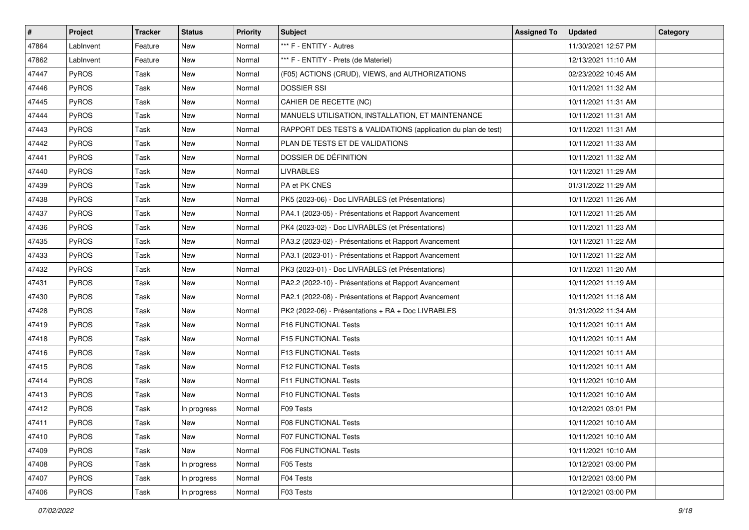| #     | Project      | <b>Tracker</b> | <b>Status</b> | <b>Priority</b> | <b>Subject</b>                                                | <b>Assigned To</b> | <b>Updated</b>      | Category |
|-------|--------------|----------------|---------------|-----------------|---------------------------------------------------------------|--------------------|---------------------|----------|
| 47864 | LabInvent    | Feature        | New           | Normal          | *** F - ENTITY - Autres                                       |                    | 11/30/2021 12:57 PM |          |
| 47862 | LabInvent    | Feature        | New           | Normal          | *** F - ENTITY - Prets (de Materiel)                          |                    | 12/13/2021 11:10 AM |          |
| 47447 | <b>PyROS</b> | Task           | New           | Normal          | (F05) ACTIONS (CRUD), VIEWS, and AUTHORIZATIONS               |                    | 02/23/2022 10:45 AM |          |
| 47446 | PyROS        | Task           | New           | Normal          | <b>DOSSIER SSI</b>                                            |                    | 10/11/2021 11:32 AM |          |
| 47445 | PyROS        | Task           | New           | Normal          | CAHIER DE RECETTE (NC)                                        |                    | 10/11/2021 11:31 AM |          |
| 47444 | PyROS        | Task           | New           | Normal          | MANUELS UTILISATION, INSTALLATION, ET MAINTENANCE             |                    | 10/11/2021 11:31 AM |          |
| 47443 | PyROS        | Task           | <b>New</b>    | Normal          | RAPPORT DES TESTS & VALIDATIONS (application du plan de test) |                    | 10/11/2021 11:31 AM |          |
| 47442 | <b>PyROS</b> | Task           | New           | Normal          | PLAN DE TESTS ET DE VALIDATIONS                               |                    | 10/11/2021 11:33 AM |          |
| 47441 | PyROS        | Task           | New           | Normal          | DOSSIER DE DÉFINITION                                         |                    | 10/11/2021 11:32 AM |          |
| 47440 | PyROS        | Task           | New           | Normal          | <b>LIVRABLES</b>                                              |                    | 10/11/2021 11:29 AM |          |
| 47439 | PyROS        | Task           | New           | Normal          | PA et PK CNES                                                 |                    | 01/31/2022 11:29 AM |          |
| 47438 | PyROS        | Task           | New           | Normal          | PK5 (2023-06) - Doc LIVRABLES (et Présentations)              |                    | 10/11/2021 11:26 AM |          |
| 47437 | PyROS        | Task           | New           | Normal          | PA4.1 (2023-05) - Présentations et Rapport Avancement         |                    | 10/11/2021 11:25 AM |          |
| 47436 | PyROS        | Task           | New           | Normal          | PK4 (2023-02) - Doc LIVRABLES (et Présentations)              |                    | 10/11/2021 11:23 AM |          |
| 47435 | PyROS        | Task           | New           | Normal          | PA3.2 (2023-02) - Présentations et Rapport Avancement         |                    | 10/11/2021 11:22 AM |          |
| 47433 | <b>PyROS</b> | Task           | New           | Normal          | PA3.1 (2023-01) - Présentations et Rapport Avancement         |                    | 10/11/2021 11:22 AM |          |
| 47432 | PyROS        | Task           | New           | Normal          | PK3 (2023-01) - Doc LIVRABLES (et Présentations)              |                    | 10/11/2021 11:20 AM |          |
| 47431 | PyROS        | Task           | New           | Normal          | PA2.2 (2022-10) - Présentations et Rapport Avancement         |                    | 10/11/2021 11:19 AM |          |
| 47430 | PyROS        | Task           | New           | Normal          | PA2.1 (2022-08) - Présentations et Rapport Avancement         |                    | 10/11/2021 11:18 AM |          |
| 47428 | PyROS        | Task           | New           | Normal          | PK2 (2022-06) - Présentations + RA + Doc LIVRABLES            |                    | 01/31/2022 11:34 AM |          |
| 47419 | PyROS        | Task           | New           | Normal          | F16 FUNCTIONAL Tests                                          |                    | 10/11/2021 10:11 AM |          |
| 47418 | PyROS        | Task           | New           | Normal          | <b>F15 FUNCTIONAL Tests</b>                                   |                    | 10/11/2021 10:11 AM |          |
| 47416 | PyROS        | Task           | New           | Normal          | F13 FUNCTIONAL Tests                                          |                    | 10/11/2021 10:11 AM |          |
| 47415 | PyROS        | Task           | New           | Normal          | F12 FUNCTIONAL Tests                                          |                    | 10/11/2021 10:11 AM |          |
| 47414 | PyROS        | Task           | New           | Normal          | F11 FUNCTIONAL Tests                                          |                    | 10/11/2021 10:10 AM |          |
| 47413 | PyROS        | Task           | New           | Normal          | F10 FUNCTIONAL Tests                                          |                    | 10/11/2021 10:10 AM |          |
| 47412 | PyROS        | Task           | In progress   | Normal          | F09 Tests                                                     |                    | 10/12/2021 03:01 PM |          |
| 47411 | PyROS        | Task           | New           | Normal          | F08 FUNCTIONAL Tests                                          |                    | 10/11/2021 10:10 AM |          |
| 47410 | <b>PyROS</b> | Task           | New           | Normal          | <b>F07 FUNCTIONAL Tests</b>                                   |                    | 10/11/2021 10:10 AM |          |
| 47409 | PyROS        | Task           | New           | Normal          | <b>F06 FUNCTIONAL Tests</b>                                   |                    | 10/11/2021 10:10 AM |          |
| 47408 | PyROS        | Task           | In progress   | Normal          | F05 Tests                                                     |                    | 10/12/2021 03:00 PM |          |
| 47407 | PyROS        | Task           | In progress   | Normal          | F04 Tests                                                     |                    | 10/12/2021 03:00 PM |          |
| 47406 | PyROS        | Task           | In progress   | Normal          | F03 Tests                                                     |                    | 10/12/2021 03:00 PM |          |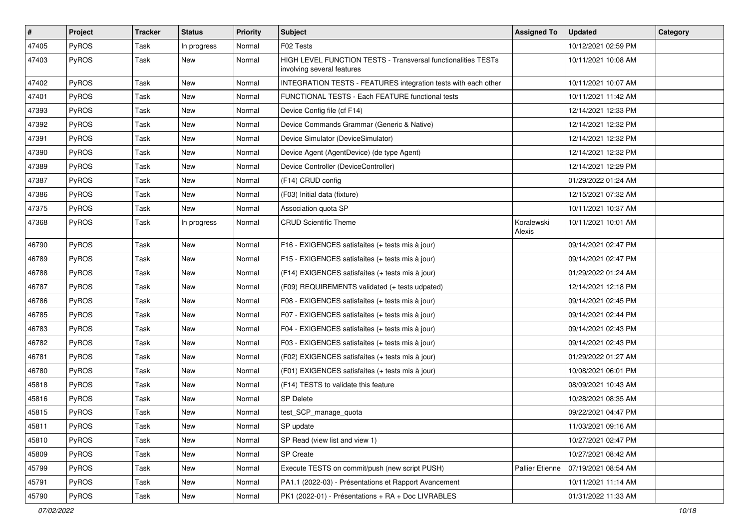| #     | Project      | <b>Tracker</b> | <b>Status</b> | <b>Priority</b> | Subject                                                                                     | <b>Assigned To</b>     | <b>Updated</b>      | Category |
|-------|--------------|----------------|---------------|-----------------|---------------------------------------------------------------------------------------------|------------------------|---------------------|----------|
| 47405 | PyROS        | Task           | In progress   | Normal          | F02 Tests                                                                                   |                        | 10/12/2021 02:59 PM |          |
| 47403 | PyROS        | Task           | <b>New</b>    | Normal          | HIGH LEVEL FUNCTION TESTS - Transversal functionalities TESTs<br>involving several features |                        | 10/11/2021 10:08 AM |          |
| 47402 | PyROS        | Task           | <b>New</b>    | Normal          | INTEGRATION TESTS - FEATURES integration tests with each other                              |                        | 10/11/2021 10:07 AM |          |
| 47401 | PyROS        | Task           | <b>New</b>    | Normal          | FUNCTIONAL TESTS - Each FEATURE functional tests                                            |                        | 10/11/2021 11:42 AM |          |
| 47393 | PyROS        | Task           | New           | Normal          | Device Config file (cf F14)                                                                 |                        | 12/14/2021 12:33 PM |          |
| 47392 | PyROS        | Task           | <b>New</b>    | Normal          | Device Commands Grammar (Generic & Native)                                                  |                        | 12/14/2021 12:32 PM |          |
| 47391 | PyROS        | Task           | <b>New</b>    | Normal          | Device Simulator (DeviceSimulator)                                                          |                        | 12/14/2021 12:32 PM |          |
| 47390 | PyROS        | Task           | <b>New</b>    | Normal          | Device Agent (AgentDevice) (de type Agent)                                                  |                        | 12/14/2021 12:32 PM |          |
| 47389 | PyROS        | Task           | <b>New</b>    | Normal          | Device Controller (DeviceController)                                                        |                        | 12/14/2021 12:29 PM |          |
| 47387 | <b>PyROS</b> | Task           | New           | Normal          | (F14) CRUD config                                                                           |                        | 01/29/2022 01:24 AM |          |
| 47386 | PyROS        | Task           | <b>New</b>    | Normal          | (F03) Initial data (fixture)                                                                |                        | 12/15/2021 07:32 AM |          |
| 47375 | PyROS        | Task           | New           | Normal          | Association quota SP                                                                        |                        | 10/11/2021 10:37 AM |          |
| 47368 | PyROS        | Task           | In progress   | Normal          | <b>CRUD Scientific Theme</b>                                                                | Koralewski<br>Alexis   | 10/11/2021 10:01 AM |          |
| 46790 | PyROS        | Task           | New           | Normal          | F16 - EXIGENCES satisfaites (+ tests mis à jour)                                            |                        | 09/14/2021 02:47 PM |          |
| 46789 | PyROS        | Task           | <b>New</b>    | Normal          | F15 - EXIGENCES satisfaites (+ tests mis à jour)                                            |                        | 09/14/2021 02:47 PM |          |
| 46788 | PyROS        | Task           | <b>New</b>    | Normal          | (F14) EXIGENCES satisfaites (+ tests mis à jour)                                            |                        | 01/29/2022 01:24 AM |          |
| 46787 | PyROS        | Task           | New           | Normal          | (F09) REQUIREMENTS validated (+ tests udpated)                                              |                        | 12/14/2021 12:18 PM |          |
| 46786 | PyROS        | Task           | <b>New</b>    | Normal          | F08 - EXIGENCES satisfaites (+ tests mis à jour)                                            |                        | 09/14/2021 02:45 PM |          |
| 46785 | PyROS        | Task           | New           | Normal          | F07 - EXIGENCES satisfaites (+ tests mis à jour)                                            |                        | 09/14/2021 02:44 PM |          |
| 46783 | PyROS        | Task           | New           | Normal          | F04 - EXIGENCES satisfaites (+ tests mis à jour)                                            |                        | 09/14/2021 02:43 PM |          |
| 46782 | PyROS        | Task           | <b>New</b>    | Normal          | F03 - EXIGENCES satisfaites (+ tests mis à jour)                                            |                        | 09/14/2021 02:43 PM |          |
| 46781 | PyROS        | Task           | <b>New</b>    | Normal          | (F02) EXIGENCES satisfaites (+ tests mis à jour)                                            |                        | 01/29/2022 01:27 AM |          |
| 46780 | PyROS        | Task           | New           | Normal          | (F01) EXIGENCES satisfaites (+ tests mis à jour)                                            |                        | 10/08/2021 06:01 PM |          |
| 45818 | PyROS        | Task           | <b>New</b>    | Normal          | (F14) TESTS to validate this feature                                                        |                        | 08/09/2021 10:43 AM |          |
| 45816 | PyROS        | Task           | <b>New</b>    | Normal          | <b>SP Delete</b>                                                                            |                        | 10/28/2021 08:35 AM |          |
| 45815 | PyROS        | Task           | <b>New</b>    | Normal          | test_SCP_manage_quota                                                                       |                        | 09/22/2021 04:47 PM |          |
| 45811 | PyROS        | Task           | New           | Normal          | SP update                                                                                   |                        | 11/03/2021 09:16 AM |          |
| 45810 | PyROS        | Task           | New           | Normal          | SP Read (view list and view 1)                                                              |                        | 10/27/2021 02:47 PM |          |
| 45809 | PyROS        | Task           | New           | Normal          | SP Create                                                                                   |                        | 10/27/2021 08:42 AM |          |
| 45799 | PyROS        | Task           | New           | Normal          | Execute TESTS on commit/push (new script PUSH)                                              | <b>Pallier Etienne</b> | 07/19/2021 08:54 AM |          |
| 45791 | PyROS        | Task           | New           | Normal          | PA1.1 (2022-03) - Présentations et Rapport Avancement                                       |                        | 10/11/2021 11:14 AM |          |
| 45790 | PyROS        | Task           | New           | Normal          | PK1 (2022-01) - Présentations + RA + Doc LIVRABLES                                          |                        | 01/31/2022 11:33 AM |          |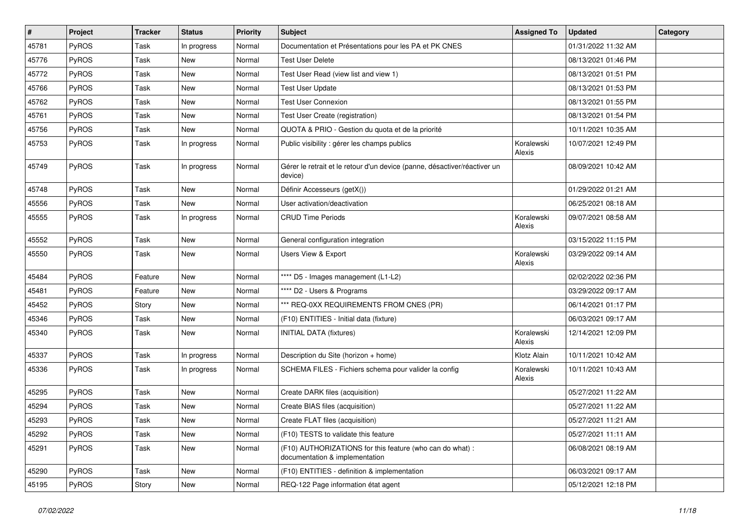| $\vert$ # | Project | <b>Tracker</b> | <b>Status</b> | <b>Priority</b> | <b>Subject</b>                                                                              | <b>Assigned To</b>   | <b>Updated</b>      | Category |
|-----------|---------|----------------|---------------|-----------------|---------------------------------------------------------------------------------------------|----------------------|---------------------|----------|
| 45781     | PyROS   | Task           | In progress   | Normal          | Documentation et Présentations pour les PA et PK CNES                                       |                      | 01/31/2022 11:32 AM |          |
| 45776     | PyROS   | Task           | <b>New</b>    | Normal          | <b>Test User Delete</b>                                                                     |                      | 08/13/2021 01:46 PM |          |
| 45772     | PyROS   | Task           | New           | Normal          | Test User Read (view list and view 1)                                                       |                      | 08/13/2021 01:51 PM |          |
| 45766     | PyROS   | Task           | <b>New</b>    | Normal          | <b>Test User Update</b>                                                                     |                      | 08/13/2021 01:53 PM |          |
| 45762     | PyROS   | Task           | New           | Normal          | <b>Test User Connexion</b>                                                                  |                      | 08/13/2021 01:55 PM |          |
| 45761     | PyROS   | Task           | New           | Normal          | Test User Create (registration)                                                             |                      | 08/13/2021 01:54 PM |          |
| 45756     | PyROS   | Task           | <b>New</b>    | Normal          | QUOTA & PRIO - Gestion du quota et de la priorité                                           |                      | 10/11/2021 10:35 AM |          |
| 45753     | PyROS   | Task           | In progress   | Normal          | Public visibility : gérer les champs publics                                                | Koralewski<br>Alexis | 10/07/2021 12:49 PM |          |
| 45749     | PyROS   | Task           | In progress   | Normal          | Gérer le retrait et le retour d'un device (panne, désactiver/réactiver un<br>device)        |                      | 08/09/2021 10:42 AM |          |
| 45748     | PyROS   | Task           | New           | Normal          | Définir Accesseurs (getX())                                                                 |                      | 01/29/2022 01:21 AM |          |
| 45556     | PyROS   | Task           | <b>New</b>    | Normal          | User activation/deactivation                                                                |                      | 06/25/2021 08:18 AM |          |
| 45555     | PyROS   | Task           | In progress   | Normal          | <b>CRUD Time Periods</b>                                                                    | Koralewski<br>Alexis | 09/07/2021 08:58 AM |          |
| 45552     | PyROS   | Task           | New           | Normal          | General configuration integration                                                           |                      | 03/15/2022 11:15 PM |          |
| 45550     | PyROS   | Task           | New           | Normal          | Users View & Export                                                                         | Koralewski<br>Alexis | 03/29/2022 09:14 AM |          |
| 45484     | PyROS   | Feature        | New           | Normal          | **** D5 - Images management (L1-L2)                                                         |                      | 02/02/2022 02:36 PM |          |
| 45481     | PyROS   | Feature        | New           | Normal          | **** D2 - Users & Programs                                                                  |                      | 03/29/2022 09:17 AM |          |
| 45452     | PyROS   | Story          | New           | Normal          | *** REQ-0XX REQUIREMENTS FROM CNES (PR)                                                     |                      | 06/14/2021 01:17 PM |          |
| 45346     | PyROS   | Task           | New           | Normal          | (F10) ENTITIES - Initial data (fixture)                                                     |                      | 06/03/2021 09:17 AM |          |
| 45340     | PyROS   | Task           | New           | Normal          | <b>INITIAL DATA (fixtures)</b>                                                              | Koralewski<br>Alexis | 12/14/2021 12:09 PM |          |
| 45337     | PyROS   | Task           | In progress   | Normal          | Description du Site (horizon + home)                                                        | Klotz Alain          | 10/11/2021 10:42 AM |          |
| 45336     | PyROS   | Task           | In progress   | Normal          | SCHEMA FILES - Fichiers schema pour valider la config                                       | Koralewski<br>Alexis | 10/11/2021 10:43 AM |          |
| 45295     | PyROS   | Task           | New           | Normal          | Create DARK files (acquisition)                                                             |                      | 05/27/2021 11:22 AM |          |
| 45294     | PyROS   | Task           | <b>New</b>    | Normal          | Create BIAS files (acquisition)                                                             |                      | 05/27/2021 11:22 AM |          |
| 45293     | PyROS   | Task           | New           | Normal          | Create FLAT files (acquisition)                                                             |                      | 05/27/2021 11:21 AM |          |
| 45292     | PyROS   | Task           | New           | Normal          | (F10) TESTS to validate this feature                                                        |                      | 05/27/2021 11:11 AM |          |
| 45291     | PyROS   | Task           | New           | Normal          | (F10) AUTHORIZATIONS for this feature (who can do what) :<br>documentation & implementation |                      | 06/08/2021 08:19 AM |          |
| 45290     | PyROS   | Task           | New           | Normal          | (F10) ENTITIES - definition & implementation                                                |                      | 06/03/2021 09:17 AM |          |
| 45195     | PyROS   | Story          | New           | Normal          | REQ-122 Page information état agent                                                         |                      | 05/12/2021 12:18 PM |          |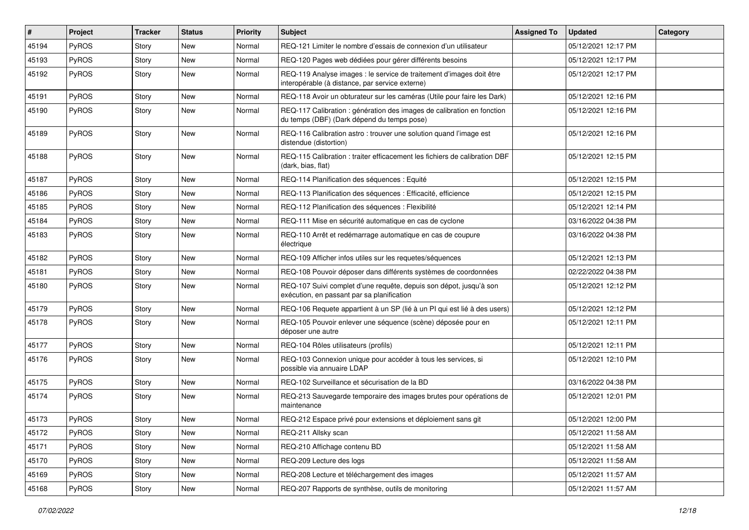| #     | Project      | <b>Tracker</b> | <b>Status</b> | <b>Priority</b> | <b>Subject</b>                                                                                                          | <b>Assigned To</b> | <b>Updated</b>      | Category |
|-------|--------------|----------------|---------------|-----------------|-------------------------------------------------------------------------------------------------------------------------|--------------------|---------------------|----------|
| 45194 | PyROS        | Story          | New           | Normal          | REQ-121 Limiter le nombre d'essais de connexion d'un utilisateur                                                        |                    | 05/12/2021 12:17 PM |          |
| 45193 | PyROS        | Story          | New           | Normal          | REQ-120 Pages web dédiées pour gérer différents besoins                                                                 |                    | 05/12/2021 12:17 PM |          |
| 45192 | PyROS        | Story          | New           | Normal          | REQ-119 Analyse images : le service de traitement d'images doit être<br>interopérable (à distance, par service externe) |                    | 05/12/2021 12:17 PM |          |
| 45191 | PyROS        | Story          | <b>New</b>    | Normal          | REQ-118 Avoir un obturateur sur les caméras (Utile pour faire les Dark)                                                 |                    | 05/12/2021 12:16 PM |          |
| 45190 | PyROS        | Story          | New           | Normal          | REQ-117 Calibration : génération des images de calibration en fonction<br>du temps (DBF) (Dark dépend du temps pose)    |                    | 05/12/2021 12:16 PM |          |
| 45189 | PyROS        | Story          | New           | Normal          | REQ-116 Calibration astro: trouver une solution quand l'image est<br>distendue (distortion)                             |                    | 05/12/2021 12:16 PM |          |
| 45188 | PyROS        | Story          | New           | Normal          | REQ-115 Calibration : traiter efficacement les fichiers de calibration DBF<br>(dark, bias, flat)                        |                    | 05/12/2021 12:15 PM |          |
| 45187 | PyROS        | Story          | <b>New</b>    | Normal          | REQ-114 Planification des séquences : Equité                                                                            |                    | 05/12/2021 12:15 PM |          |
| 45186 | PyROS        | Story          | <b>New</b>    | Normal          | REQ-113 Planification des séquences : Efficacité, efficience                                                            |                    | 05/12/2021 12:15 PM |          |
| 45185 | PyROS        | Story          | New           | Normal          | REQ-112 Planification des séquences : Flexibilité                                                                       |                    | 05/12/2021 12:14 PM |          |
| 45184 | PyROS        | Story          | <b>New</b>    | Normal          | REQ-111 Mise en sécurité automatique en cas de cyclone                                                                  |                    | 03/16/2022 04:38 PM |          |
| 45183 | PyROS        | Story          | New           | Normal          | REQ-110 Arrêt et redémarrage automatique en cas de coupure<br>électrique                                                |                    | 03/16/2022 04:38 PM |          |
| 45182 | PyROS        | Story          | <b>New</b>    | Normal          | REQ-109 Afficher infos utiles sur les requetes/séquences                                                                |                    | 05/12/2021 12:13 PM |          |
| 45181 | PyROS        | Story          | <b>New</b>    | Normal          | REQ-108 Pouvoir déposer dans différents systèmes de coordonnées                                                         |                    | 02/22/2022 04:38 PM |          |
| 45180 | <b>PyROS</b> | Story          | New           | Normal          | REQ-107 Suivi complet d'une requête, depuis son dépot, jusqu'à son<br>exécution, en passant par sa planification        |                    | 05/12/2021 12:12 PM |          |
| 45179 | PyROS        | Story          | <b>New</b>    | Normal          | REQ-106 Requete appartient à un SP (lié à un PI qui est lié à des users)                                                |                    | 05/12/2021 12:12 PM |          |
| 45178 | PyROS        | Story          | New           | Normal          | REQ-105 Pouvoir enlever une séquence (scène) déposée pour en<br>déposer une autre                                       |                    | 05/12/2021 12:11 PM |          |
| 45177 | PyROS        | Story          | <b>New</b>    | Normal          | REQ-104 Rôles utilisateurs (profils)                                                                                    |                    | 05/12/2021 12:11 PM |          |
| 45176 | PyROS        | Story          | <b>New</b>    | Normal          | REQ-103 Connexion unique pour accéder à tous les services, si<br>possible via annuaire LDAP                             |                    | 05/12/2021 12:10 PM |          |
| 45175 | PyROS        | Story          | <b>New</b>    | Normal          | REQ-102 Surveillance et sécurisation de la BD                                                                           |                    | 03/16/2022 04:38 PM |          |
| 45174 | PyROS        | Story          | New           | Normal          | REQ-213 Sauvegarde temporaire des images brutes pour opérations de<br>maintenance                                       |                    | 05/12/2021 12:01 PM |          |
| 45173 | PyROS        | Story          | New           | Normal          | REQ-212 Espace privé pour extensions et déploiement sans git                                                            |                    | 05/12/2021 12:00 PM |          |
| 45172 | PyROS        | Story          | New           | Normal          | REQ-211 Allsky scan                                                                                                     |                    | 05/12/2021 11:58 AM |          |
| 45171 | PyROS        | Story          | New           | Normal          | REQ-210 Affichage contenu BD                                                                                            |                    | 05/12/2021 11:58 AM |          |
| 45170 | PyROS        | Story          | New           | Normal          | REQ-209 Lecture des logs                                                                                                |                    | 05/12/2021 11:58 AM |          |
| 45169 | PyROS        | Story          | New           | Normal          | REQ-208 Lecture et téléchargement des images                                                                            |                    | 05/12/2021 11:57 AM |          |
| 45168 | PyROS        | Story          | New           | Normal          | REQ-207 Rapports de synthèse, outils de monitoring                                                                      |                    | 05/12/2021 11:57 AM |          |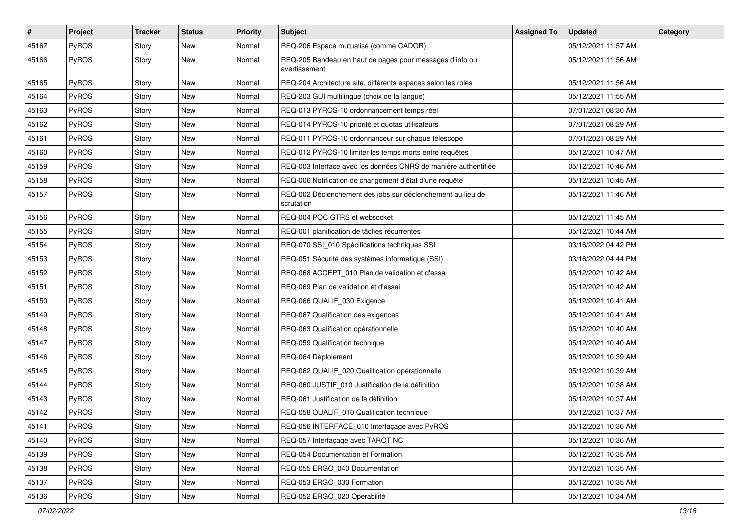| #     | Project      | <b>Tracker</b> | <b>Status</b> | <b>Priority</b> | Subject                                                                   | <b>Assigned To</b> | <b>Updated</b>      | Category |
|-------|--------------|----------------|---------------|-----------------|---------------------------------------------------------------------------|--------------------|---------------------|----------|
| 45167 | PyROS        | Story          | <b>New</b>    | Normal          | REQ-206 Espace mutualisé (comme CADOR)                                    |                    | 05/12/2021 11:57 AM |          |
| 45166 | PyROS        | Story          | <b>New</b>    | Normal          | REQ-205 Bandeau en haut de pages pour messages d'info ou<br>avertissement |                    | 05/12/2021 11:56 AM |          |
| 45165 | PyROS        | Story          | <b>New</b>    | Normal          | REQ-204 Architecture site, différents espaces selon les roles             |                    | 05/12/2021 11:56 AM |          |
| 45164 | PyROS        | Story          | <b>New</b>    | Normal          | REQ-203 GUI multilingue (choix de la langue)                              |                    | 05/12/2021 11:55 AM |          |
| 45163 | PyROS        | Story          | New           | Normal          | REQ-013 PYROS-10 ordonnancement temps réel                                |                    | 07/01/2021 08:30 AM |          |
| 45162 | PyROS        | Story          | <b>New</b>    | Normal          | REQ-014 PYROS-10 priorité et quotas utilisateurs                          |                    | 07/01/2021 08:29 AM |          |
| 45161 | PyROS        | Story          | New           | Normal          | REQ-011 PYROS-10 ordonnanceur sur chaque télescope                        |                    | 07/01/2021 08:29 AM |          |
| 45160 | PyROS        | Story          | <b>New</b>    | Normal          | REQ-012 PYROS-10 limiter les temps morts entre requêtes                   |                    | 05/12/2021 10:47 AM |          |
| 45159 | PyROS        | Story          | <b>New</b>    | Normal          | REQ-003 Interface avec les données CNRS de manière authentifiée           |                    | 05/12/2021 10:46 AM |          |
| 45158 | <b>PyROS</b> | Story          | New           | Normal          | REQ-006 Notification de changement d'état d'une requête                   |                    | 05/12/2021 10:45 AM |          |
| 45157 | PyROS        | Story          | New           | Normal          | REQ-002 Déclenchement des jobs sur déclenchement au lieu de<br>scrutation |                    | 05/12/2021 11:46 AM |          |
| 45156 | PyROS        | Story          | New           | Normal          | REQ-004 POC GTRS et websocket                                             |                    | 05/12/2021 11:45 AM |          |
| 45155 | PyROS        | Story          | <b>New</b>    | Normal          | REQ-001 planification de tâches récurrentes                               |                    | 05/12/2021 10:44 AM |          |
| 45154 | PyROS        | Story          | New           | Normal          | REQ-070 SSI 010 Spécifications techniques SSI                             |                    | 03/16/2022 04:42 PM |          |
| 45153 | PyROS        | Story          | <b>New</b>    | Normal          | REQ-051 Sécurité des systèmes informatique (SSI)                          |                    | 03/16/2022 04:44 PM |          |
| 45152 | PyROS        | Story          | <b>New</b>    | Normal          | REQ-068 ACCEPT_010 Plan de validation et d'essai                          |                    | 05/12/2021 10:42 AM |          |
| 45151 | PyROS        | Story          | New           | Normal          | REQ-069 Plan de validation et d'essai                                     |                    | 05/12/2021 10:42 AM |          |
| 45150 | PyROS        | Story          | <b>New</b>    | Normal          | REQ-066 QUALIF_030 Exigence                                               |                    | 05/12/2021 10:41 AM |          |
| 45149 | PyROS        | Story          | New           | Normal          | REQ-067 Qualification des exigences                                       |                    | 05/12/2021 10:41 AM |          |
| 45148 | PyROS        | Story          | New           | Normal          | REQ-063 Qualification opérationnelle                                      |                    | 05/12/2021 10:40 AM |          |
| 45147 | PyROS        | Story          | <b>New</b>    | Normal          | REQ-059 Qualification technique                                           |                    | 05/12/2021 10:40 AM |          |
| 45146 | PyROS        | Story          | New           | Normal          | REQ-064 Déploiement                                                       |                    | 05/12/2021 10:39 AM |          |
| 45145 | PyROS        | Story          | <b>New</b>    | Normal          | REQ-062 QUALIF_020 Qualification opérationnelle                           |                    | 05/12/2021 10:39 AM |          |
| 45144 | PyROS        | Story          | <b>New</b>    | Normal          | REQ-060 JUSTIF_010 Justification de la définition                         |                    | 05/12/2021 10:38 AM |          |
| 45143 | PyROS        | Story          | <b>New</b>    | Normal          | REQ-061 Justification de la définition                                    |                    | 05/12/2021 10:37 AM |          |
| 45142 | PyROS        | Story          | <b>New</b>    | Normal          | REQ-058 QUALIF_010 Qualification technique                                |                    | 05/12/2021 10:37 AM |          |
| 45141 | PyROS        | Story          | New           | Normal          | REQ-056 INTERFACE_010 Interfaçage avec PyROS                              |                    | 05/12/2021 10:36 AM |          |
| 45140 | PyROS        | Story          | New           | Normal          | REQ-057 Interfaçage avec TAROT NC                                         |                    | 05/12/2021 10:36 AM |          |
| 45139 | PyROS        | Story          | New           | Normal          | REQ-054 Documentation et Formation                                        |                    | 05/12/2021 10:35 AM |          |
| 45138 | PyROS        | Story          | New           | Normal          | REQ-055 ERGO_040 Documentation                                            |                    | 05/12/2021 10:35 AM |          |
| 45137 | PyROS        | Story          | New           | Normal          | REQ-053 ERGO_030 Formation                                                |                    | 05/12/2021 10:35 AM |          |
| 45136 | PyROS        | Story          | New           | Normal          | REQ-052 ERGO 020 Operabilité                                              |                    | 05/12/2021 10:34 AM |          |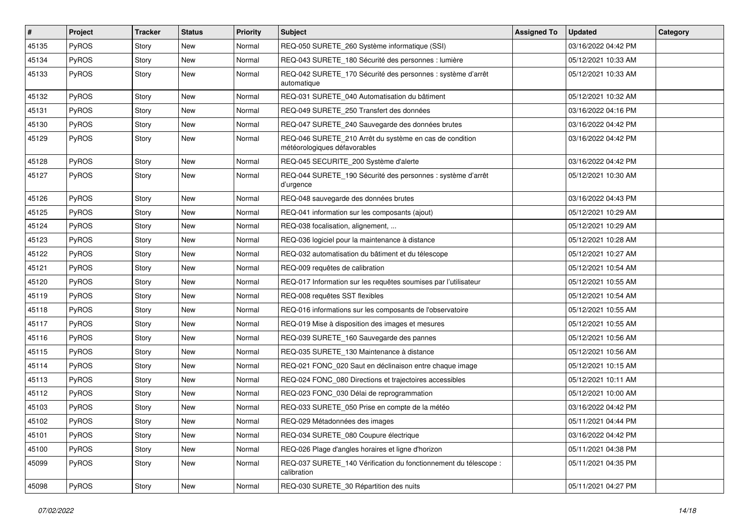| $\vert$ # | Project      | <b>Tracker</b> | <b>Status</b> | <b>Priority</b> | Subject                                                                                 | <b>Assigned To</b> | <b>Updated</b>      | Category |
|-----------|--------------|----------------|---------------|-----------------|-----------------------------------------------------------------------------------------|--------------------|---------------------|----------|
| 45135     | PyROS        | Story          | <b>New</b>    | Normal          | REQ-050 SURETE_260 Système informatique (SSI)                                           |                    | 03/16/2022 04:42 PM |          |
| 45134     | PyROS        | Story          | <b>New</b>    | Normal          | REQ-043 SURETE_180 Sécurité des personnes : lumière                                     |                    | 05/12/2021 10:33 AM |          |
| 45133     | PyROS        | Story          | New           | Normal          | REQ-042 SURETE_170 Sécurité des personnes : système d'arrêt<br>automatique              |                    | 05/12/2021 10:33 AM |          |
| 45132     | PyROS        | Story          | <b>New</b>    | Normal          | REQ-031 SURETE_040 Automatisation du bâtiment                                           |                    | 05/12/2021 10:32 AM |          |
| 45131     | PyROS        | Story          | <b>New</b>    | Normal          | REQ-049 SURETE 250 Transfert des données                                                |                    | 03/16/2022 04:16 PM |          |
| 45130     | PyROS        | Story          | <b>New</b>    | Normal          | REQ-047 SURETE_240 Sauvegarde des données brutes                                        |                    | 03/16/2022 04:42 PM |          |
| 45129     | PyROS        | Story          | New           | Normal          | REQ-046 SURETE_210 Arrêt du système en cas de condition<br>météorologiques défavorables |                    | 03/16/2022 04:42 PM |          |
| 45128     | PyROS        | Story          | <b>New</b>    | Normal          | REQ-045 SECURITE_200 Système d'alerte                                                   |                    | 03/16/2022 04:42 PM |          |
| 45127     | <b>PyROS</b> | Story          | New           | Normal          | REQ-044 SURETE_190 Sécurité des personnes : système d'arrêt<br>d'urgence                |                    | 05/12/2021 10:30 AM |          |
| 45126     | PyROS        | Story          | <b>New</b>    | Normal          | REQ-048 sauvegarde des données brutes                                                   |                    | 03/16/2022 04:43 PM |          |
| 45125     | PyROS        | Story          | New           | Normal          | REQ-041 information sur les composants (ajout)                                          |                    | 05/12/2021 10:29 AM |          |
| 45124     | PyROS        | Story          | <b>New</b>    | Normal          | REQ-038 focalisation, alignement,                                                       |                    | 05/12/2021 10:29 AM |          |
| 45123     | PyROS        | Story          | New           | Normal          | REQ-036 logiciel pour la maintenance à distance                                         |                    | 05/12/2021 10:28 AM |          |
| 45122     | PyROS        | Story          | New           | Normal          | REQ-032 automatisation du bâtiment et du télescope                                      |                    | 05/12/2021 10:27 AM |          |
| 45121     | PyROS        | Story          | <b>New</b>    | Normal          | REQ-009 requêtes de calibration                                                         |                    | 05/12/2021 10:54 AM |          |
| 45120     | PyROS        | Story          | New           | Normal          | REQ-017 Information sur les requêtes soumises par l'utilisateur                         |                    | 05/12/2021 10:55 AM |          |
| 45119     | PyROS        | Story          | New           | Normal          | REQ-008 requêtes SST flexibles                                                          |                    | 05/12/2021 10:54 AM |          |
| 45118     | PyROS        | Story          | New           | Normal          | REQ-016 informations sur les composants de l'observatoire                               |                    | 05/12/2021 10:55 AM |          |
| 45117     | PyROS        | Story          | <b>New</b>    | Normal          | REQ-019 Mise à disposition des images et mesures                                        |                    | 05/12/2021 10:55 AM |          |
| 45116     | PyROS        | Story          | New           | Normal          | REQ-039 SURETE_160 Sauvegarde des pannes                                                |                    | 05/12/2021 10:56 AM |          |
| 45115     | <b>PyROS</b> | Story          | New           | Normal          | REQ-035 SURETE_130 Maintenance à distance                                               |                    | 05/12/2021 10:56 AM |          |
| 45114     | PyROS        | Story          | New           | Normal          | REQ-021 FONC_020 Saut en déclinaison entre chaque image                                 |                    | 05/12/2021 10:15 AM |          |
| 45113     | PyROS        | Story          | <b>New</b>    | Normal          | REQ-024 FONC_080 Directions et trajectoires accessibles                                 |                    | 05/12/2021 10:11 AM |          |
| 45112     | PyROS        | Story          | New           | Normal          | REQ-023 FONC_030 Délai de reprogrammation                                               |                    | 05/12/2021 10:00 AM |          |
| 45103     | PyROS        | Story          | <b>New</b>    | Normal          | REQ-033 SURETE_050 Prise en compte de la météo                                          |                    | 03/16/2022 04:42 PM |          |
| 45102     | PyROS        | Story          | New           | Normal          | REQ-029 Métadonnées des images                                                          |                    | 05/11/2021 04:44 PM |          |
| 45101     | PyROS        | Story          | New           | Normal          | REQ-034 SURETE_080 Coupure électrique                                                   |                    | 03/16/2022 04:42 PM |          |
| 45100     | PyROS        | Story          | New           | Normal          | REQ-026 Plage d'angles horaires et ligne d'horizon                                      |                    | 05/11/2021 04:38 PM |          |
| 45099     | PyROS        | Story          | New           | Normal          | REQ-037 SURETE_140 Vérification du fonctionnement du télescope :<br>calibration         |                    | 05/11/2021 04:35 PM |          |
| 45098     | PyROS        | Story          | New           | Normal          | REQ-030 SURETE_30 Répartition des nuits                                                 |                    | 05/11/2021 04:27 PM |          |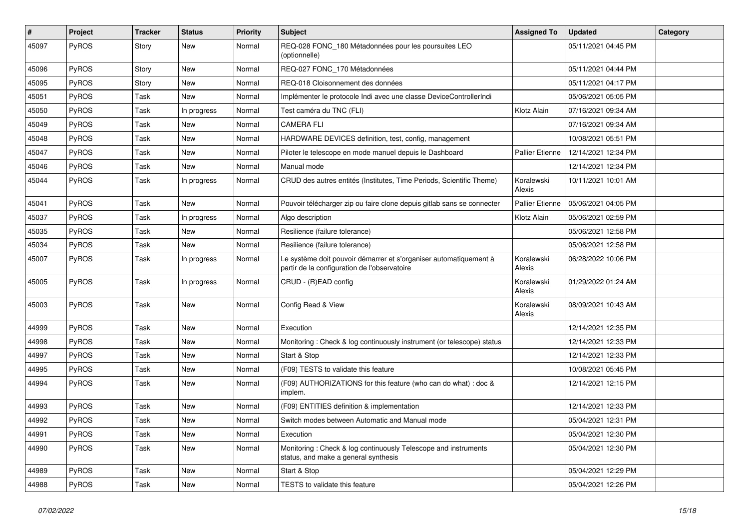| #     | Project | <b>Tracker</b> | <b>Status</b> | <b>Priority</b> | Subject                                                                                                           | <b>Assigned To</b>     | <b>Updated</b>      | Category |
|-------|---------|----------------|---------------|-----------------|-------------------------------------------------------------------------------------------------------------------|------------------------|---------------------|----------|
| 45097 | PyROS   | Story          | New           | Normal          | REQ-028 FONC_180 Métadonnées pour les poursuites LEO<br>(optionnelle)                                             |                        | 05/11/2021 04:45 PM |          |
| 45096 | PyROS   | Story          | New           | Normal          | REQ-027 FONC_170 Métadonnées                                                                                      |                        | 05/11/2021 04:44 PM |          |
| 45095 | PyROS   | Story          | New           | Normal          | REQ-018 Cloisonnement des données                                                                                 |                        | 05/11/2021 04:17 PM |          |
| 45051 | PyROS   | Task           | <b>New</b>    | Normal          | Implémenter le protocole Indi avec une classe DeviceControllerIndi                                                |                        | 05/06/2021 05:05 PM |          |
| 45050 | PyROS   | Task           | In progress   | Normal          | Test caméra du TNC (FLI)                                                                                          | Klotz Alain            | 07/16/2021 09:34 AM |          |
| 45049 | PyROS   | Task           | New           | Normal          | <b>CAMERA FLI</b>                                                                                                 |                        | 07/16/2021 09:34 AM |          |
| 45048 | PyROS   | Task           | New           | Normal          | HARDWARE DEVICES definition, test, config, management                                                             |                        | 10/08/2021 05:51 PM |          |
| 45047 | PyROS   | Task           | New           | Normal          | Piloter le telescope en mode manuel depuis le Dashboard                                                           | <b>Pallier Etienne</b> | 12/14/2021 12:34 PM |          |
| 45046 | PyROS   | Task           | <b>New</b>    | Normal          | Manual mode                                                                                                       |                        | 12/14/2021 12:34 PM |          |
| 45044 | PyROS   | Task           | In progress   | Normal          | CRUD des autres entités (Institutes, Time Periods, Scientific Theme)                                              | Koralewski<br>Alexis   | 10/11/2021 10:01 AM |          |
| 45041 | PyROS   | Task           | New           | Normal          | Pouvoir télécharger zip ou faire clone depuis gitlab sans se connecter                                            | Pallier Etienne        | 05/06/2021 04:05 PM |          |
| 45037 | PyROS   | Task           | In progress   | Normal          | Algo description                                                                                                  | Klotz Alain            | 05/06/2021 02:59 PM |          |
| 45035 | PyROS   | Task           | New           | Normal          | Resilience (failure tolerance)                                                                                    |                        | 05/06/2021 12:58 PM |          |
| 45034 | PyROS   | Task           | New           | Normal          | Resilience (failure tolerance)                                                                                    |                        | 05/06/2021 12:58 PM |          |
| 45007 | PyROS   | Task           | In progress   | Normal          | Le système doit pouvoir démarrer et s'organiser automatiquement à<br>partir de la configuration de l'observatoire | Koralewski<br>Alexis   | 06/28/2022 10:06 PM |          |
| 45005 | PyROS   | Task           | In progress   | Normal          | CRUD - (R)EAD config                                                                                              | Koralewski<br>Alexis   | 01/29/2022 01:24 AM |          |
| 45003 | PyROS   | Task           | <b>New</b>    | Normal          | Config Read & View                                                                                                | Koralewski<br>Alexis   | 08/09/2021 10:43 AM |          |
| 44999 | PyROS   | Task           | New           | Normal          | Execution                                                                                                         |                        | 12/14/2021 12:35 PM |          |
| 44998 | PyROS   | Task           | New           | Normal          | Monitoring: Check & log continuously instrument (or telescope) status                                             |                        | 12/14/2021 12:33 PM |          |
| 44997 | PyROS   | Task           | New           | Normal          | Start & Stop                                                                                                      |                        | 12/14/2021 12:33 PM |          |
| 44995 | PyROS   | Task           | New           | Normal          | (F09) TESTS to validate this feature                                                                              |                        | 10/08/2021 05:45 PM |          |
| 44994 | PyROS   | Task           | New           | Normal          | (F09) AUTHORIZATIONS for this feature (who can do what) : doc &<br>implem.                                        |                        | 12/14/2021 12:15 PM |          |
| 44993 | PyROS   | Task           | New           | Normal          | (F09) ENTITIES definition & implementation                                                                        |                        | 12/14/2021 12:33 PM |          |
| 44992 | PyROS   | Task           | <b>New</b>    | Normal          | Switch modes between Automatic and Manual mode                                                                    |                        | 05/04/2021 12:31 PM |          |
| 44991 | PyROS   | Task           | New           | Normal          | Execution                                                                                                         |                        | 05/04/2021 12:30 PM |          |
| 44990 | PyROS   | Task           | New           | Normal          | Monitoring: Check & log continuously Telescope and instruments<br>status, and make a general synthesis            |                        | 05/04/2021 12:30 PM |          |
| 44989 | PyROS   | Task           | New           | Normal          | Start & Stop                                                                                                      |                        | 05/04/2021 12:29 PM |          |
| 44988 | PyROS   | Task           | New           | Normal          | TESTS to validate this feature                                                                                    |                        | 05/04/2021 12:26 PM |          |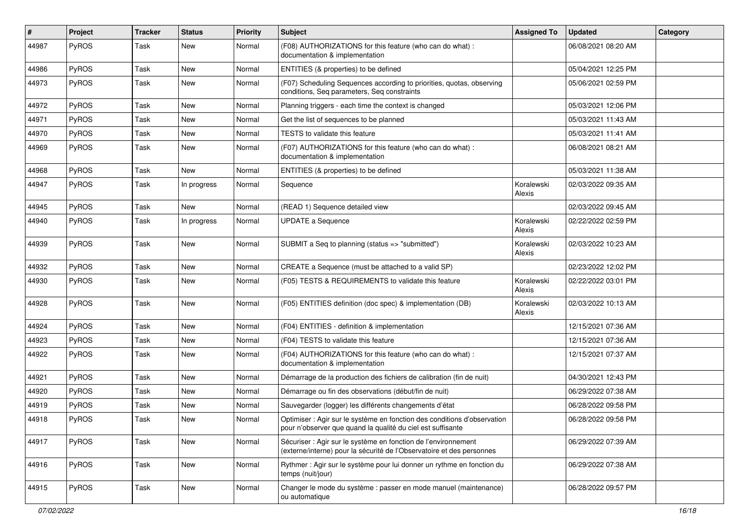| #     | Project | <b>Tracker</b> | <b>Status</b> | <b>Priority</b> | Subject                                                                                                                                 | <b>Assigned To</b>   | <b>Updated</b>      | Category |
|-------|---------|----------------|---------------|-----------------|-----------------------------------------------------------------------------------------------------------------------------------------|----------------------|---------------------|----------|
| 44987 | PyROS   | Task           | <b>New</b>    | Normal          | (F08) AUTHORIZATIONS for this feature (who can do what) :<br>documentation & implementation                                             |                      | 06/08/2021 08:20 AM |          |
| 44986 | PyROS   | Task           | New           | Normal          | ENTITIES (& properties) to be defined                                                                                                   |                      | 05/04/2021 12:25 PM |          |
| 44973 | PyROS   | Task           | New           | Normal          | (F07) Scheduling Sequences according to priorities, quotas, observing<br>conditions, Seq parameters, Seq constraints                    |                      | 05/06/2021 02:59 PM |          |
| 44972 | PyROS   | Task           | <b>New</b>    | Normal          | Planning triggers - each time the context is changed                                                                                    |                      | 05/03/2021 12:06 PM |          |
| 44971 | PyROS   | Task           | <b>New</b>    | Normal          | Get the list of sequences to be planned                                                                                                 |                      | 05/03/2021 11:43 AM |          |
| 44970 | PyROS   | Task           | New           | Normal          | TESTS to validate this feature                                                                                                          |                      | 05/03/2021 11:41 AM |          |
| 44969 | PyROS   | Task           | <b>New</b>    | Normal          | (F07) AUTHORIZATIONS for this feature (who can do what):<br>documentation & implementation                                              |                      | 06/08/2021 08:21 AM |          |
| 44968 | PyROS   | Task           | New           | Normal          | ENTITIES (& properties) to be defined                                                                                                   |                      | 05/03/2021 11:38 AM |          |
| 44947 | PyROS   | Task           | In progress   | Normal          | Sequence                                                                                                                                | Koralewski<br>Alexis | 02/03/2022 09:35 AM |          |
| 44945 | PyROS   | Task           | <b>New</b>    | Normal          | (READ 1) Sequence detailed view                                                                                                         |                      | 02/03/2022 09:45 AM |          |
| 44940 | PyROS   | Task           | In progress   | Normal          | <b>UPDATE a Sequence</b>                                                                                                                | Koralewski<br>Alexis | 02/22/2022 02:59 PM |          |
| 44939 | PyROS   | Task           | New           | Normal          | SUBMIT a Seq to planning (status => "submitted")                                                                                        | Koralewski<br>Alexis | 02/03/2022 10:23 AM |          |
| 44932 | PyROS   | Task           | <b>New</b>    | Normal          | CREATE a Sequence (must be attached to a valid SP)                                                                                      |                      | 02/23/2022 12:02 PM |          |
| 44930 | PyROS   | Task           | <b>New</b>    | Normal          | (F05) TESTS & REQUIREMENTS to validate this feature                                                                                     | Koralewski<br>Alexis | 02/22/2022 03:01 PM |          |
| 44928 | PyROS   | Task           | New           | Normal          | (F05) ENTITIES definition (doc spec) & implementation (DB)                                                                              | Koralewski<br>Alexis | 02/03/2022 10:13 AM |          |
| 44924 | PyROS   | Task           | New           | Normal          | (F04) ENTITIES - definition & implementation                                                                                            |                      | 12/15/2021 07:36 AM |          |
| 44923 | PyROS   | Task           | New           | Normal          | (F04) TESTS to validate this feature                                                                                                    |                      | 12/15/2021 07:36 AM |          |
| 44922 | PyROS   | Task           | New           | Normal          | (F04) AUTHORIZATIONS for this feature (who can do what) :<br>documentation & implementation                                             |                      | 12/15/2021 07:37 AM |          |
| 44921 | PyROS   | Task           | New           | Normal          | Démarrage de la production des fichiers de calibration (fin de nuit)                                                                    |                      | 04/30/2021 12:43 PM |          |
| 44920 | PyROS   | Task           | New           | Normal          | Démarrage ou fin des observations (début/fin de nuit)                                                                                   |                      | 06/29/2022 07:38 AM |          |
| 44919 | PyROS   | Task           | New           | Normal          | Sauvegarder (logger) les différents changements d'état                                                                                  |                      | 06/28/2022 09:58 PM |          |
| 44918 | PyROS   | Task           | New           | Normal          | Optimiser : Agir sur le système en fonction des conditions d'observation<br>pour n'observer que quand la qualité du ciel est suffisante |                      | 06/28/2022 09:58 PM |          |
| 44917 | PyROS   | Task           | New           | Normal          | Sécuriser : Agir sur le système en fonction de l'environnement<br>(externe/interne) pour la sécurité de l'Observatoire et des personnes |                      | 06/29/2022 07:39 AM |          |
| 44916 | PyROS   | Task           | New           | Normal          | Rythmer : Agir sur le système pour lui donner un rythme en fonction du<br>temps (nuit/jour)                                             |                      | 06/29/2022 07:38 AM |          |
| 44915 | PyROS   | Task           | New           | Normal          | Changer le mode du système : passer en mode manuel (maintenance)<br>ou automatique                                                      |                      | 06/28/2022 09:57 PM |          |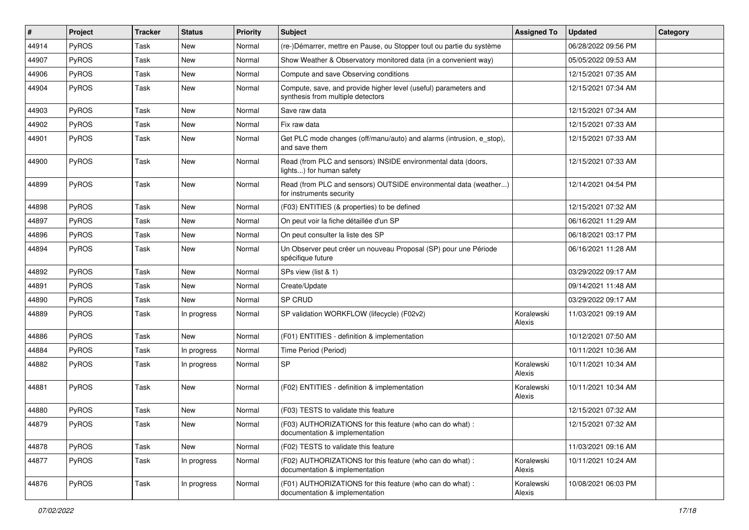| #     | <b>Project</b> | <b>Tracker</b> | <b>Status</b> | <b>Priority</b> | <b>Subject</b>                                                                                       | <b>Assigned To</b>   | <b>Updated</b>      | Category |
|-------|----------------|----------------|---------------|-----------------|------------------------------------------------------------------------------------------------------|----------------------|---------------------|----------|
| 44914 | PyROS          | Task           | New           | Normal          | (re-)Démarrer, mettre en Pause, ou Stopper tout ou partie du système                                 |                      | 06/28/2022 09:56 PM |          |
| 44907 | PyROS          | Task           | <b>New</b>    | Normal          | Show Weather & Observatory monitored data (in a convenient way)                                      |                      | 05/05/2022 09:53 AM |          |
| 44906 | <b>PyROS</b>   | Task           | New           | Normal          | Compute and save Observing conditions                                                                |                      | 12/15/2021 07:35 AM |          |
| 44904 | PyROS          | Task           | New           | Normal          | Compute, save, and provide higher level (useful) parameters and<br>synthesis from multiple detectors |                      | 12/15/2021 07:34 AM |          |
| 44903 | PyROS          | Task           | <b>New</b>    | Normal          | Save raw data                                                                                        |                      | 12/15/2021 07:34 AM |          |
| 44902 | PyROS          | Task           | New           | Normal          | Fix raw data                                                                                         |                      | 12/15/2021 07:33 AM |          |
| 44901 | PyROS          | Task           | New           | Normal          | Get PLC mode changes (off/manu/auto) and alarms (intrusion, e_stop),<br>and save them                |                      | 12/15/2021 07:33 AM |          |
| 44900 | PyROS          | Task           | New           | Normal          | Read (from PLC and sensors) INSIDE environmental data (doors,<br>lights) for human safety            |                      | 12/15/2021 07:33 AM |          |
| 44899 | PyROS          | Task           | New           | Normal          | Read (from PLC and sensors) OUTSIDE environmental data (weather)<br>for instruments security         |                      | 12/14/2021 04:54 PM |          |
| 44898 | PyROS          | Task           | <b>New</b>    | Normal          | (F03) ENTITIES (& properties) to be defined                                                          |                      | 12/15/2021 07:32 AM |          |
| 44897 | PyROS          | Task           | New           | Normal          | On peut voir la fiche détaillée d'un SP                                                              |                      | 06/16/2021 11:29 AM |          |
| 44896 | PyROS          | Task           | New           | Normal          | On peut consulter la liste des SP                                                                    |                      | 06/18/2021 03:17 PM |          |
| 44894 | PyROS          | Task           | New           | Normal          | Un Observer peut créer un nouveau Proposal (SP) pour une Période<br>spécifique future                |                      | 06/16/2021 11:28 AM |          |
| 44892 | PyROS          | Task           | <b>New</b>    | Normal          | SPs view (list & 1)                                                                                  |                      | 03/29/2022 09:17 AM |          |
| 44891 | PyROS          | Task           | New           | Normal          | Create/Update                                                                                        |                      | 09/14/2021 11:48 AM |          |
| 44890 | PyROS          | Task           | <b>New</b>    | Normal          | SP CRUD                                                                                              |                      | 03/29/2022 09:17 AM |          |
| 44889 | <b>PyROS</b>   | Task           | In progress   | Normal          | SP validation WORKFLOW (lifecycle) (F02v2)                                                           | Koralewski<br>Alexis | 11/03/2021 09:19 AM |          |
| 44886 | PyROS          | Task           | <b>New</b>    | Normal          | (F01) ENTITIES - definition & implementation                                                         |                      | 10/12/2021 07:50 AM |          |
| 44884 | PyROS          | Task           | In progress   | Normal          | Time Period (Period)                                                                                 |                      | 10/11/2021 10:36 AM |          |
| 44882 | PyROS          | Task           | In progress   | Normal          | $\ensuremath{\mathsf{SP}}$                                                                           | Koralewski<br>Alexis | 10/11/2021 10:34 AM |          |
| 44881 | PyROS          | Task           | New           | Normal          | (F02) ENTITIES - definition & implementation                                                         | Koralewski<br>Alexis | 10/11/2021 10:34 AM |          |
| 44880 | PyROS          | Task           | <b>New</b>    | Normal          | (F03) TESTS to validate this feature                                                                 |                      | 12/15/2021 07:32 AM |          |
| 44879 | PyROS          | Task           | New           | Normal          | (F03) AUTHORIZATIONS for this feature (who can do what) :<br>documentation & implementation          |                      | 12/15/2021 07:32 AM |          |
| 44878 | PyROS          | Task           | New           | Normal          | (F02) TESTS to validate this feature                                                                 |                      | 11/03/2021 09:16 AM |          |
| 44877 | PyROS          | Task           | In progress   | Normal          | (F02) AUTHORIZATIONS for this feature (who can do what) :<br>documentation & implementation          | Koralewski<br>Alexis | 10/11/2021 10:24 AM |          |
| 44876 | PyROS          | Task           | In progress   | Normal          | (F01) AUTHORIZATIONS for this feature (who can do what) :<br>documentation & implementation          | Koralewski<br>Alexis | 10/08/2021 06:03 PM |          |